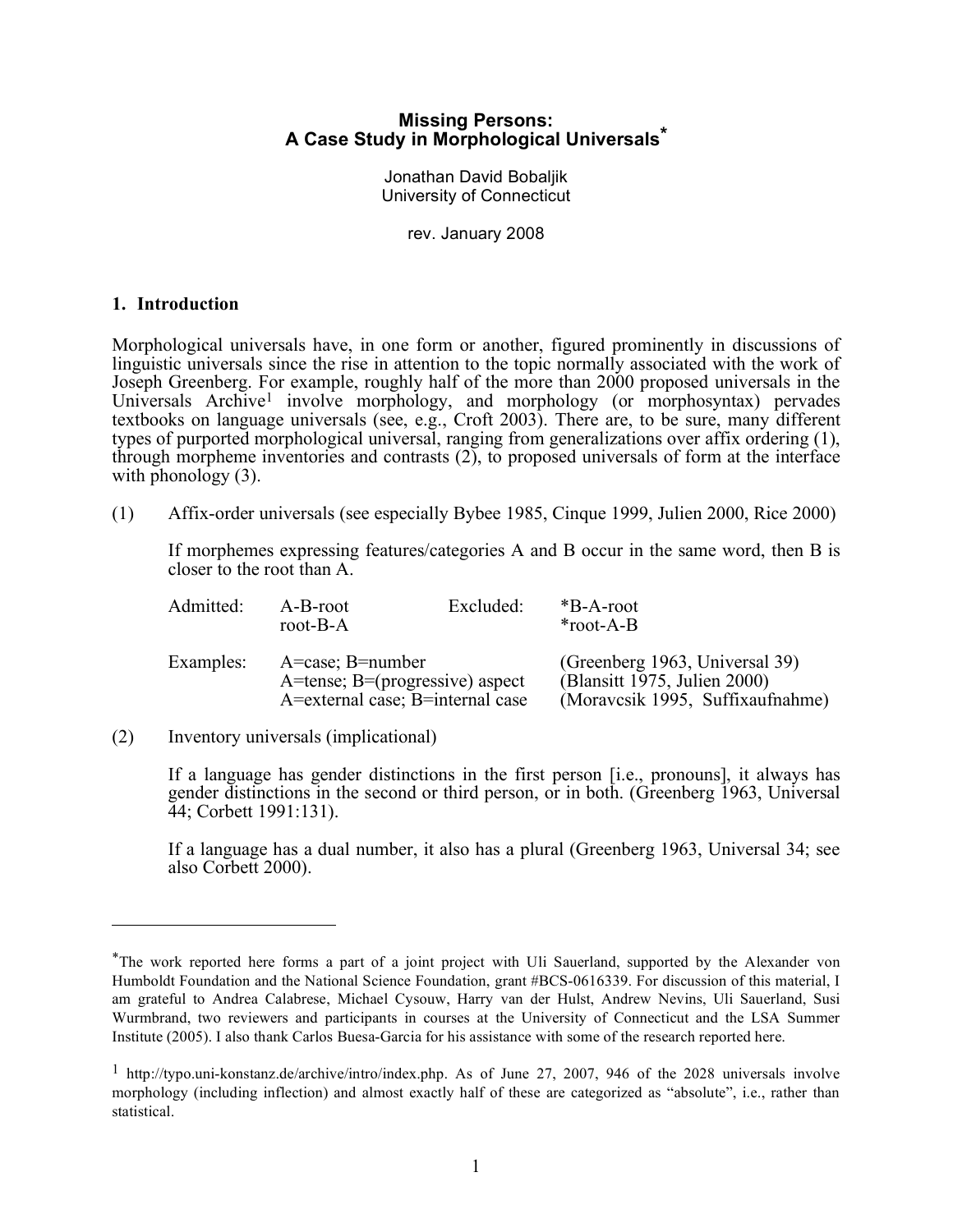### **Missing Persons: A Case Study in Morphological Universals\***

Jonathan David Bobaljik University of Connecticut

rev. January 2008

## **1. Introduction**

 $\overline{a}$ 

Morphological universals have, in one form or another, figured prominently in discussions of linguistic universals since the rise in attention to the topic normally associated with the work of Joseph Greenberg. For example, roughly half of the more than 2000 proposed universals in the Universals Archive<sup>1</sup> involve morphology, and morphology (or morphosyntax) pervades textbooks on language universals (see, e.g., Croft 2003). There are, to be sure, many different types of purported morphological universal, ranging from generalizations over affix ordering (1), through morpheme inventories and contrasts (2), to proposed universals of form at the interface with phonology  $(3)$ .

(1) Affix-order universals (see especially Bybee 1985, Cinque 1999, Julien 2000, Rice 2000)

If morphemes expressing features/categories A and B occur in the same word, then B is closer to the root than A.

| Admitted: | A-B-root<br>root- $B-A$                                                                          | Excluded: | *B-A-root<br>$*$ root-A-B                                                                          |
|-----------|--------------------------------------------------------------------------------------------------|-----------|----------------------------------------------------------------------------------------------------|
| Examples: | A=case; B=number<br>A=tense; $B=(\text{progressive})$ aspect<br>A=external case; B=internal case |           | (Greenberg 1963, Universal 39)<br>(Blansitt 1975, Julien 2000)<br>(Moravcsik 1995, Suffixaufnahme) |

(2) Inventory universals (implicational)

If a language has gender distinctions in the first person [i.e., pronouns], it always has gender distinctions in the second or third person, or in both. (Greenberg 1963, Universal 44; Corbett 1991:131).

If a language has a dual number, it also has a plural (Greenberg 1963, Universal 34; see also Corbett 2000).

<sup>\*</sup>The work reported here forms a part of a joint project with Uli Sauerland, supported by the Alexander von Humboldt Foundation and the National Science Foundation, grant #BCS-0616339. For discussion of this material, I am grateful to Andrea Calabrese, Michael Cysouw, Harry van der Hulst, Andrew Nevins, Uli Sauerland, Susi Wurmbrand, two reviewers and participants in courses at the University of Connecticut and the LSA Summer Institute (2005). I also thank Carlos Buesa-Garcia for his assistance with some of the research reported here.

<sup>1</sup> http://typo.uni-konstanz.de/archive/intro/index.php. As of June 27, 2007, 946 of the 2028 universals involve morphology (including inflection) and almost exactly half of these are categorized as "absolute", i.e., rather than statistical.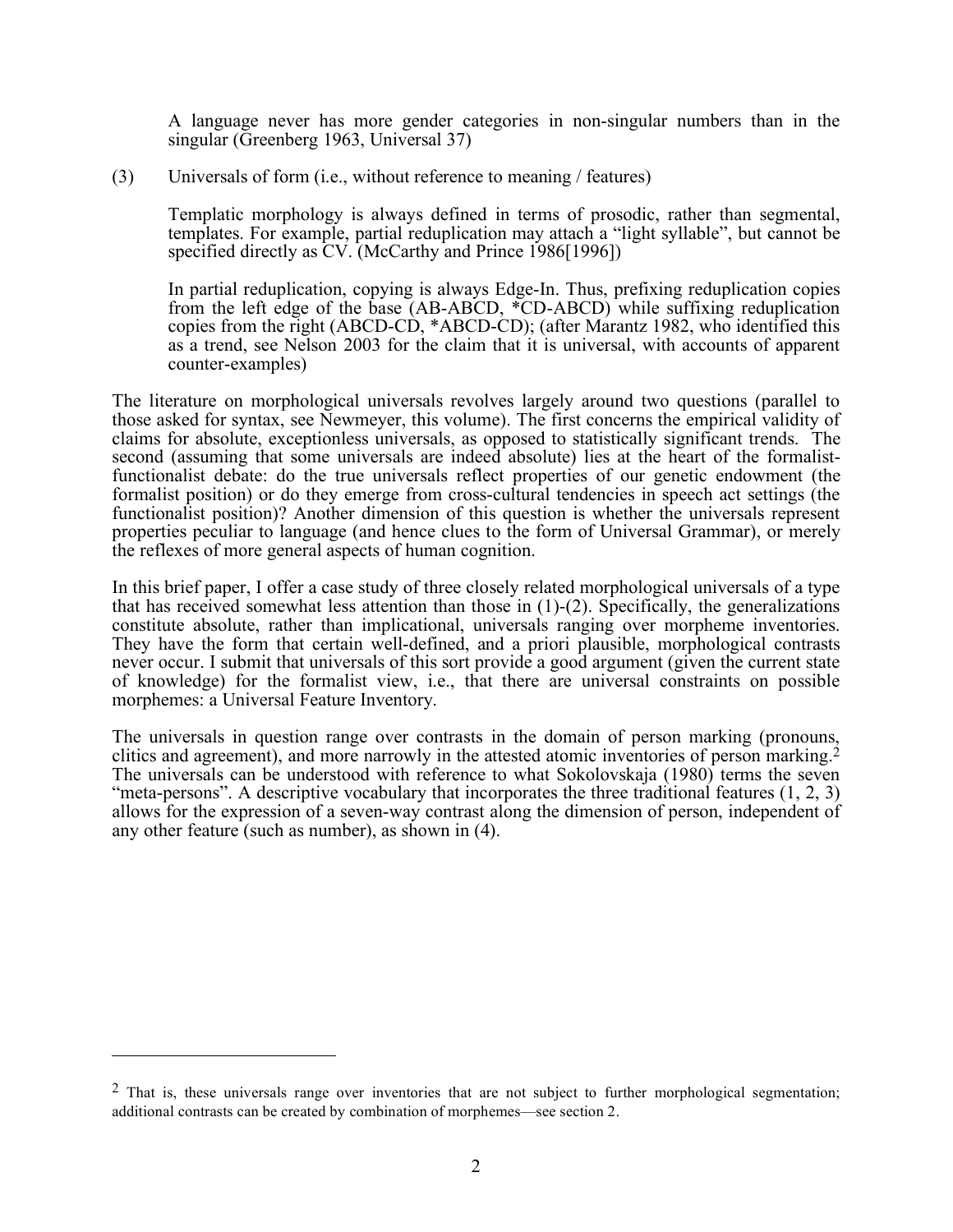A language never has more gender categories in non-singular numbers than in the singular (Greenberg 1963, Universal 37)

### (3) Universals of form (i.e., without reference to meaning / features)

Templatic morphology is always defined in terms of prosodic, rather than segmental, templates. For example, partial reduplication may attach a "light syllable", but cannot be specified directly as CV. (McCarthy and Prince 1986[1996])

In partial reduplication, copying is always Edge-In. Thus, prefixing reduplication copies from the left edge of the base (AB-ABCD, \*CD-ABCD) while suffixing reduplication copies from the right (ABCD-CD, \*ABCD-CD); (after Marantz 1982, who identified this as a trend, see Nelson 2003 for the claim that it is universal, with accounts of apparent counter-examples)

The literature on morphological universals revolves largely around two questions (parallel to those asked for syntax, see Newmeyer, this volume). The first concerns the empirical validity of claims for absolute, exceptionless universals, as opposed to statistically significant trends. The second (assuming that some universals are indeed absolute) lies at the heart of the formalistfunctionalist debate: do the true universals reflect properties of our genetic endowment (the formalist position) or do they emerge from cross-cultural tendencies in speech act settings (the functionalist position)? Another dimension of this question is whether the universals represent properties peculiar to language (and hence clues to the form of Universal Grammar), or merely the reflexes of more general aspects of human cognition.

In this brief paper, I offer a case study of three closely related morphological universals of a type that has received somewhat less attention than those in  $(1)-(2)$ . Specifically, the generalizations constitute absolute, rather than implicational, universals ranging over morpheme inventories. They have the form that certain well-defined, and a priori plausible, morphological contrasts never occur. I submit that universals of this sort provide a good argument (given the current state of knowledge) for the formalist view, i.e., that there are universal constraints on possible morphemes: a Universal Feature Inventory.

The universals in question range over contrasts in the domain of person marking (pronouns, clitics and agreement), and more narrowly in the attested atomic inventories of person marking.<sup>2</sup> The universals can be understood with reference to what Sokolovskaja (1980) terms the seven "meta-persons". A descriptive vocabulary that incorporates the three traditional features (1, 2, 3) allows for the expression of a seven-way contrast along the dimension of person, independent of any other feature (such as number), as shown in (4).

 $\overline{a}$ 

<sup>&</sup>lt;sup>2</sup> That is, these universals range over inventories that are not subject to further morphological segmentation; additional contrasts can be created by combination of morphemes—see section 2.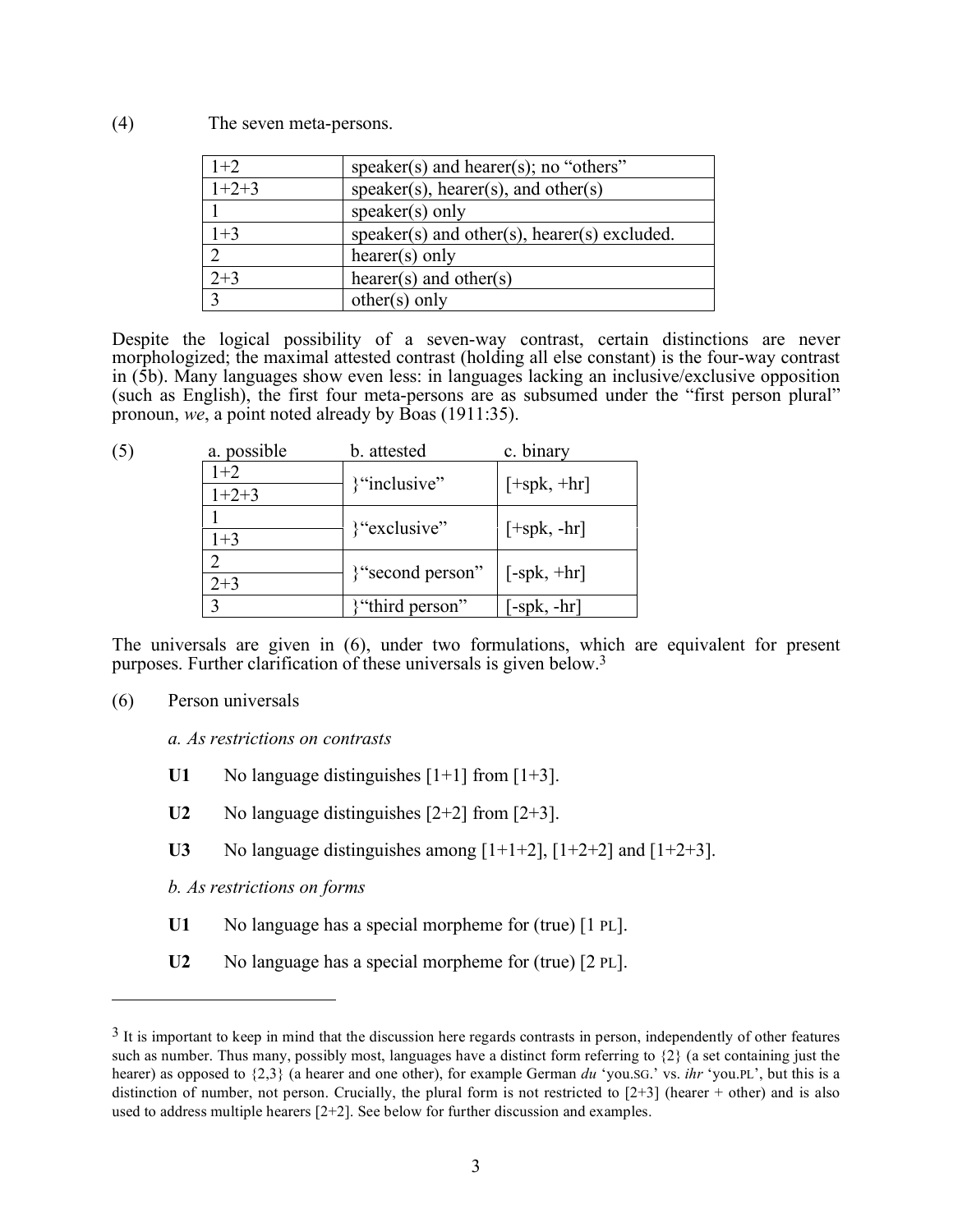(4) The seven meta-persons.

| $1+2$          | speaker(s) and hearer(s); no "others"          |
|----------------|------------------------------------------------|
| $1+2+3$        | $speaker(s)$ , hearer(s), and other(s)         |
|                | speaker(s) only                                |
| $1+3$          | $speaker(s)$ and other(s), hearer(s) excluded. |
| $\overline{2}$ | $hearer(s)$ only                               |
| $2 + 3$        | hearer(s) and other(s)                         |
| $\gamma$       | $other(s)$ only                                |

Despite the logical possibility of a seven-way contrast, certain distinctions are never morphologized; the maximal attested contrast (holding all else constant) is the four-way contrast in (5b). Many languages show even less: in languages lacking an inclusive/exclusive opposition (such as English), the first four meta-persons are as subsumed under the "first person plural" pronoun, *we*, a point noted already by Boas (1911:35).

| (5) | a. possible | b. attested     | c. binary     |
|-----|-------------|-----------------|---------------|
|     | $1+2$       | {"inclusive"}   | $[+spk, +hr]$ |
|     | $1+2+3$     |                 |               |
|     |             | {"exclusive"}   |               |
|     | $1 + 3$     |                 | $[+spk, -hr]$ |
|     |             |                 |               |
|     | $2 + 3$     | "second person" | $[-spk, +hr]$ |
|     |             | "third person"  | $-spk, -hr$ ] |

The universals are given in (6), under two formulations, which are equivalent for present purposes. Further clarification of these universals is given below. 3

(6) Person universals

 $\overline{a}$ 

*a. As restrictions on contrasts*

- **U1** No language distinguishes [1+1] from [1+3].
- **U2** No language distinguishes [2+2] from [2+3].
- **U3** No language distinguishes among  $[1+1+2]$ ,  $[1+2+2]$  and  $[1+2+3]$ .

*b. As restrictions on forms*

- **U1** No language has a special morpheme for (true) [1 PL].
- **U2** No language has a special morpheme for (true) [2 PL].

 $3$  It is important to keep in mind that the discussion here regards contrasts in person, independently of other features such as number. Thus many, possibly most, languages have a distinct form referring to  $\{2\}$  (a set containing just the hearer) as opposed to {2,3} (a hearer and one other), for example German *du* 'you.SG.' vs. *ihr* 'you.PL', but this is a distinction of number, not person. Crucially, the plural form is not restricted to  $[2+3]$  (hearer + other) and is also used to address multiple hearers [2+2]. See below for further discussion and examples.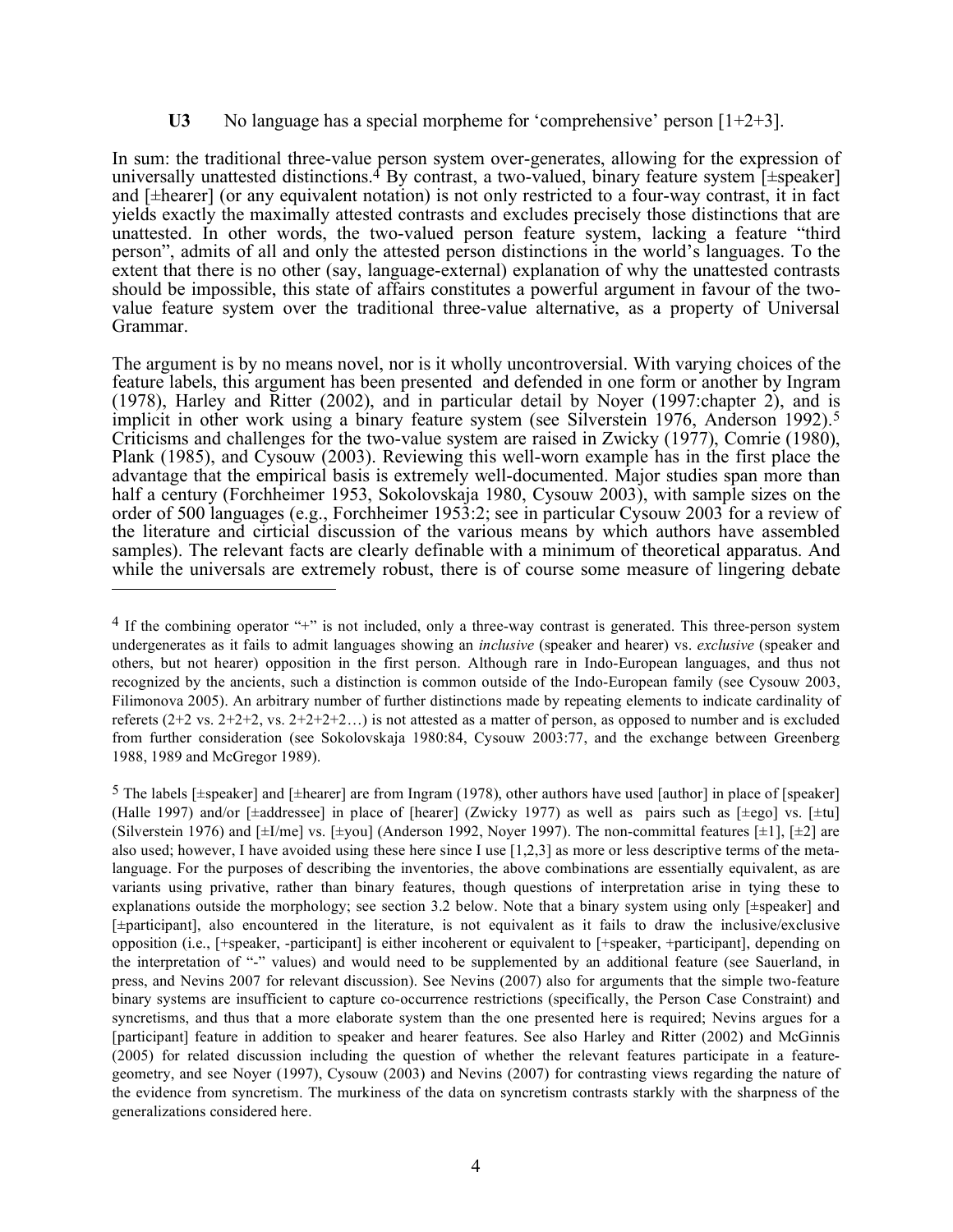### **U3** No language has a special morpheme for 'comprehensive' person [1+2+3].

In sum: the traditional three-value person system over-generates, allowing for the expression of universally unattested distinctions.<sup>4</sup> By contrast, a two-valued, binary feature system [±speaker] and [±hearer] (or any equivalent notation) is not only restricted to a four-way contrast, it in fact yields exactly the maximally attested contrasts and excludes precisely those distinctions that are unattested. In other words, the two-valued person feature system, lacking a feature "third person", admits of all and only the attested person distinctions in the world's languages. To the extent that there is no other (say, language-external) explanation of why the unattested contrasts should be impossible, this state of affairs constitutes a powerful argument in favour of the twovalue feature system over the traditional three-value alternative, as a property of Universal Grammar.

The argument is by no means novel, nor is it wholly uncontroversial. With varying choices of the feature labels, this argument has been presented and defended in one form or another by Ingram (1978), Harley and Ritter (2002), and in particular detail by Noyer (1997:chapter 2), and is implicit in other work using a binary feature system (see Silverstein 1976, Anderson 1992).<sup>5</sup> Criticisms and challenges for the two-value system are raised in Zwicky (1977), Comrie (1980), Plank (1985), and Cysouw (2003). Reviewing this well-worn example has in the first place the advantage that the empirical basis is extremely well-documented. Major studies span more than half a century (Forchheimer 1953, Sokolovskaja 1980, Cysouw 2003), with sample sizes on the order of 500 languages (e.g., Forchheimer 1953:2; see in particular Cysouw 2003 for a review of the literature and cirticial discussion of the various means by which authors have assembled samples). The relevant facts are clearly definable with a minimum of theoretical apparatus. And while the universals are extremely robust, there is of course some measure of lingering debate

 $\overline{a}$ 

<sup>&</sup>lt;sup>4</sup> If the combining operator "+" is not included, only a three-way contrast is generated. This three-person system undergenerates as it fails to admit languages showing an *inclusive* (speaker and hearer) vs. *exclusive* (speaker and others, but not hearer) opposition in the first person. Although rare in Indo-European languages, and thus not recognized by the ancients, such a distinction is common outside of the Indo-European family (see Cysouw 2003, Filimonova 2005). An arbitrary number of further distinctions made by repeating elements to indicate cardinality of referets  $(2+2 \text{ vs. } 2+2+2, \text{ vs. } 2+2+2+2...)$  is not attested as a matter of person, as opposed to number and is excluded from further consideration (see Sokolovskaja 1980:84, Cysouw 2003:77, and the exchange between Greenberg 1988, 1989 and McGregor 1989).

<sup>&</sup>lt;sup>5</sup> The labels  $[\pm$ speaker] and  $[\pm$ hearer] are from Ingram (1978), other authors have used  $[\pm]$  author] in place of  $[\pm]$ speaker] (Halle 1997) and/or  $[\pm add$ ressee] in place of [hearer] (Zwicky 1977) as well as pairs such as  $[\pm eqo]$  vs.  $[\pm tu]$ (Silverstein 1976) and  $[\pm 1/me]$  vs.  $[\pm \text{voul}$  (Anderson 1992, Noyer 1997). The non-committal features  $[\pm 1]$ ,  $[\pm 2]$  are also used; however, I have avoided using these here since I use [1,2,3] as more or less descriptive terms of the metalanguage. For the purposes of describing the inventories, the above combinations are essentially equivalent, as are variants using privative, rather than binary features, though questions of interpretation arise in tying these to explanations outside the morphology; see section 3.2 below. Note that a binary system using only [±speaker] and [±participant], also encountered in the literature, is not equivalent as it fails to draw the inclusive/exclusive opposition (i.e., [+speaker, -participant] is either incoherent or equivalent to [+speaker, +participant], depending on the interpretation of "-" values) and would need to be supplemented by an additional feature (see Sauerland, in press, and Nevins 2007 for relevant discussion). See Nevins (2007) also for arguments that the simple two-feature binary systems are insufficient to capture co-occurrence restrictions (specifically, the Person Case Constraint) and syncretisms, and thus that a more elaborate system than the one presented here is required; Nevins argues for a [participant] feature in addition to speaker and hearer features. See also Harley and Ritter (2002) and McGinnis (2005) for related discussion including the question of whether the relevant features participate in a featuregeometry, and see Noyer (1997), Cysouw (2003) and Nevins (2007) for contrasting views regarding the nature of the evidence from syncretism. The murkiness of the data on syncretism contrasts starkly with the sharpness of the generalizations considered here.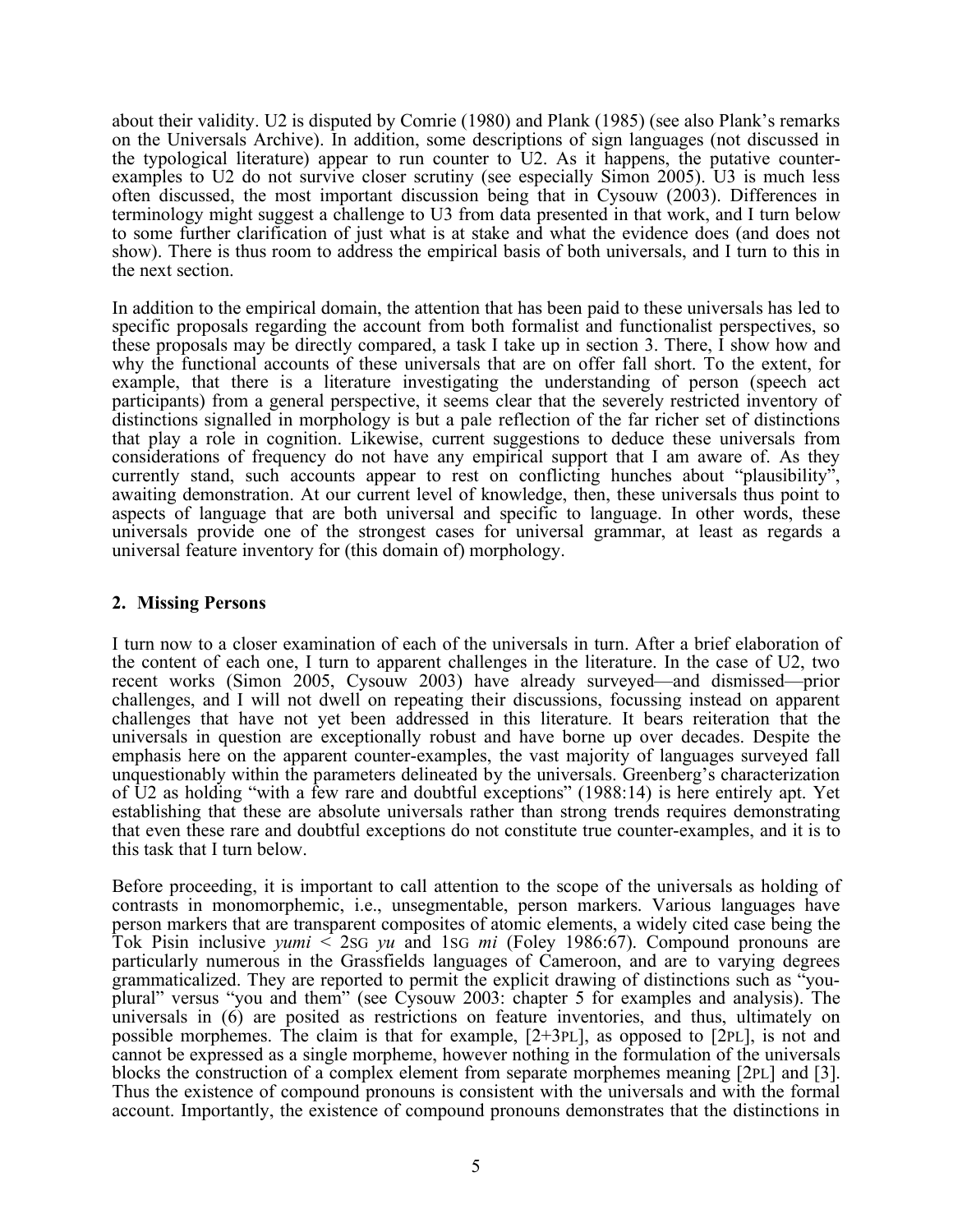about their validity. U2 is disputed by Comrie (1980) and Plank (1985) (see also Plank's remarks on the Universals Archive). In addition, some descriptions of sign languages (not discussed in the typological literature) appear to run counter to U2. As it happens, the putative counterexamples to U2 do not survive closer scrutiny (see especially Simon 2005). U3 is much less often discussed, the most important discussion being that in Cysouw (2003). Differences in terminology might suggest a challenge to U3 from data presented in that work, and I turn below to some further clarification of just what is at stake and what the evidence does (and does not show). There is thus room to address the empirical basis of both universals, and I turn to this in the next section.

In addition to the empirical domain, the attention that has been paid to these universals has led to specific proposals regarding the account from both formalist and functionalist perspectives, so these proposals may be directly compared, a task I take up in section 3. There, I show how and why the functional accounts of these universals that are on offer fall short. To the extent, for example, that there is a literature investigating the understanding of person (speech act participants) from a general perspective, it seems clear that the severely restricted inventory of distinctions signalled in morphology is but a pale reflection of the far richer set of distinctions that play a role in cognition. Likewise, current suggestions to deduce these universals from considerations of frequency do not have any empirical support that I am aware of. As they currently stand, such accounts appear to rest on conflicting hunches about "plausibility", awaiting demonstration. At our current level of knowledge, then, these universals thus point to aspects of language that are both universal and specific to language. In other words, these universals provide one of the strongest cases for universal grammar, at least as regards a universal feature inventory for (this domain of) morphology.

## **2. Missing Persons**

I turn now to a closer examination of each of the universals in turn. After a brief elaboration of the content of each one, I turn to apparent challenges in the literature. In the case of U2, two recent works (Simon 2005, Cysouw 2003) have already surveyed—and dismissed—prior challenges, and I will not dwell on repeating their discussions, focussing instead on apparent challenges that have not yet been addressed in this literature. It bears reiteration that the universals in question are exceptionally robust and have borne up over decades. Despite the emphasis here on the apparent counter-examples, the vast majority of languages surveyed fall unquestionably within the parameters delineated by the universals. Greenberg's characterization of U2 as holding "with a few rare and doubtful exceptions" (1988:14) is here entirely apt. Yet establishing that these are absolute universals rather than strong trends requires demonstrating that even these rare and doubtful exceptions do not constitute true counter-examples, and it is to this task that I turn below.

Before proceeding, it is important to call attention to the scope of the universals as holding of contrasts in monomorphemic, i.e., unsegmentable, person markers. Various languages have person markers that are transparent composites of atomic elements, a widely cited case being the Tok Pisin inclusive *yumi* < 2SG *yu* and 1SG *mi* (Foley 1986:67). Compound pronouns are particularly numerous in the Grassfields languages of Cameroon, and are to varying degrees grammaticalized. They are reported to permit the explicit drawing of distinctions such as "youplural" versus "you and them" (see Cysouw 2003: chapter 5 for examples and analysis). The universals in (6) are posited as restrictions on feature inventories, and thus, ultimately on possible morphemes. The claim is that for example, [2+3PL], as opposed to [2PL], is not and cannot be expressed as a single morpheme, however nothing in the formulation of the universals blocks the construction of <sup>a</sup> complex element from separate morphemes meaning [2PL] and [3]. Thus the existence of compound pronouns is consistent with the universals and with the formal account. Importantly, the existence of compound pronouns demonstrates that the distinctions in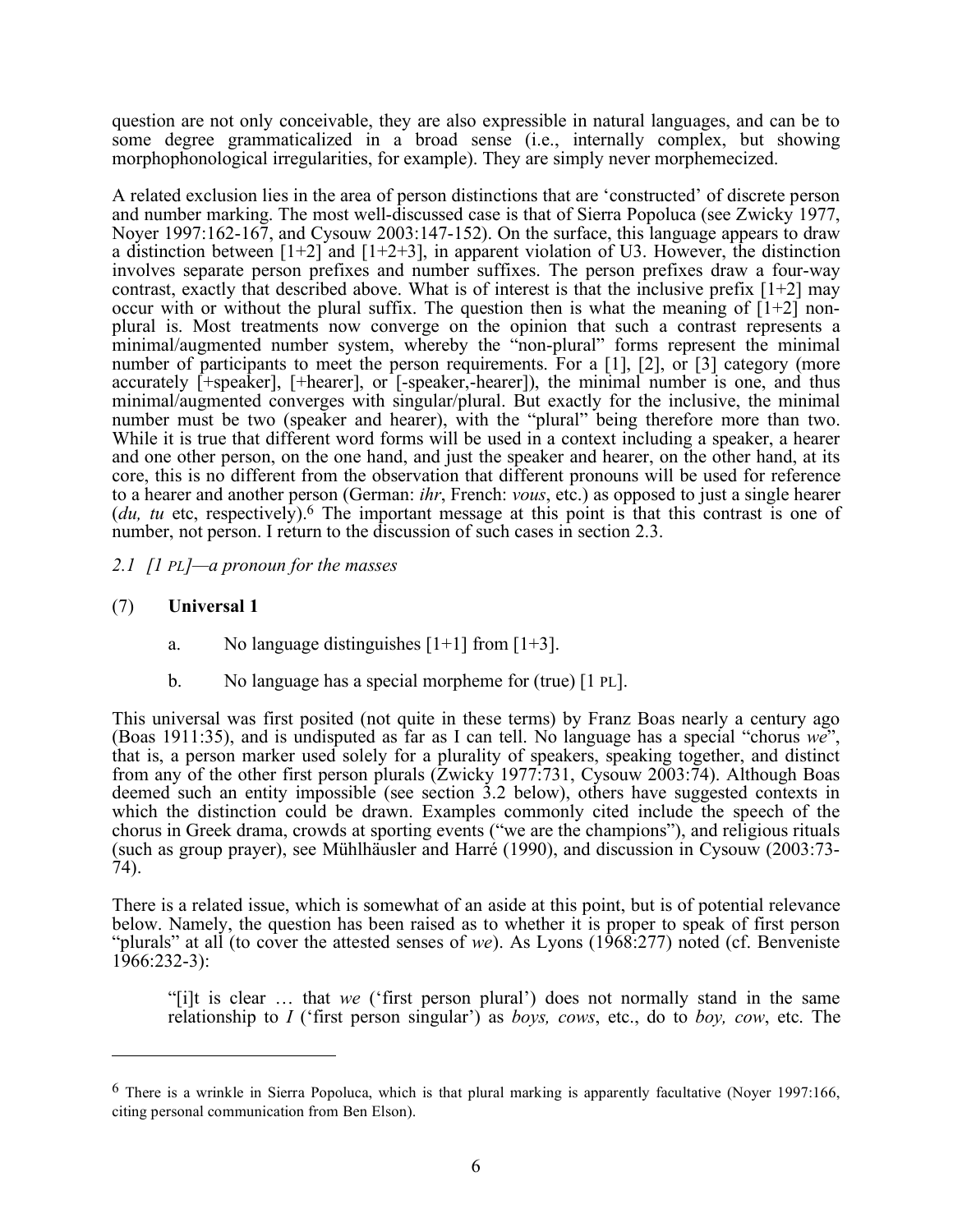question are not only conceivable, they are also expressible in natural languages, and can be to some degree grammaticalized in a broad sense (i.e., internally complex, but showing morphophonological irregularities, for example). They are simply never morphemecized.

A related exclusion lies in the area of person distinctions that are 'constructed' of discrete person and number marking. The most well-discussed case is that of Sierra Popoluca (see Zwicky 1977, Noyer 1997:162-167, and Cysouw 2003:147-152). On the surface, this language appears to draw a distinction between  $[1+2]$  and  $[1+2+3]$ , in apparent violation of U3. However, the distinction involves separate person prefixes and number suffixes. The person prefixes draw a four-way contrast, exactly that described above. What is of interest is that the inclusive prefix  $[1+2]$  may occur with or without the plural suffix. The question then is what the meaning of  $[1+2]$  nonplural is. Most treatments now converge on the opinion that such a contrast represents a minimal/augmented number system, whereby the "non-plural" forms represent the minimal number of participants to meet the person requirements. For a [1], [2], or [3] category (more accurately [+speaker], [+hearer], or [-speaker,-hearer]), the minimal number is one, and thus minimal/augmented converges with singular/plural. But exactly for the inclusive, the minimal number must be two (speaker and hearer), with the "plural" being therefore more than two. While it is true that different word forms will be used in a context including a speaker, a hearer and one other person, on the one hand, and just the speaker and hearer, on the other hand, at its core, this is no different from the observation that different pronouns will be used for reference to a hearer and another person (German: *ihr*, French: *vous*, etc.) as opposed to just a single hearer (*du, tu* etc, respectively). 6 The important message at this point is that this contrast is one of number, not person. I return to the discussion of such cases in section 2.3.

- *2.1 [1 PL]—a pronoun for the masses*
- (7) **Universal 1**

 $\overline{a}$ 

- a. No language distinguishes  $[1+1]$  from  $[1+3]$ .
- b. No language has a special morpheme for (true) [1 PL].

This universal was first posited (not quite in these terms) by Franz Boas nearly a century ago (Boas 1911:35), and is undisputed as far as I can tell. No language has a special "chorus *we*", that is, a person marker used solely for a plurality of speakers, speaking together, and distinct from any of the other first person plurals (Zwicky 1977:731, Cysouw 2003:74). Although Boas deemed such an entity impossible (see section 3.2 below), others have suggested contexts in which the distinction could be drawn. Examples commonly cited include the speech of the chorus in Greek drama, crowds at sporting events ("we are the champions"), and religious rituals (such as group prayer), see Mühlhäusler and Harré (1990), and discussion in Cysouw (2003:73- 74).

There is a related issue, which is somewhat of an aside at this point, but is of potential relevance below. Namely, the question has been raised as to whether it is proper to speak of first person "plurals" at all (to cover the attested senses of *we*). As Lyons (1968:277) noted (cf. Benveniste 1966:232-3):

"[i]t is clear … that *we* ('first person plural') does not normally stand in the same relationship to *I* ('first person singular') as *boys, cows*, etc., do to *boy, cow*, etc. The

<sup>6</sup> There is a wrinkle in Sierra Popoluca, which is that plural marking is apparently facultative (Noyer 1997:166, citing personal communication from Ben Elson).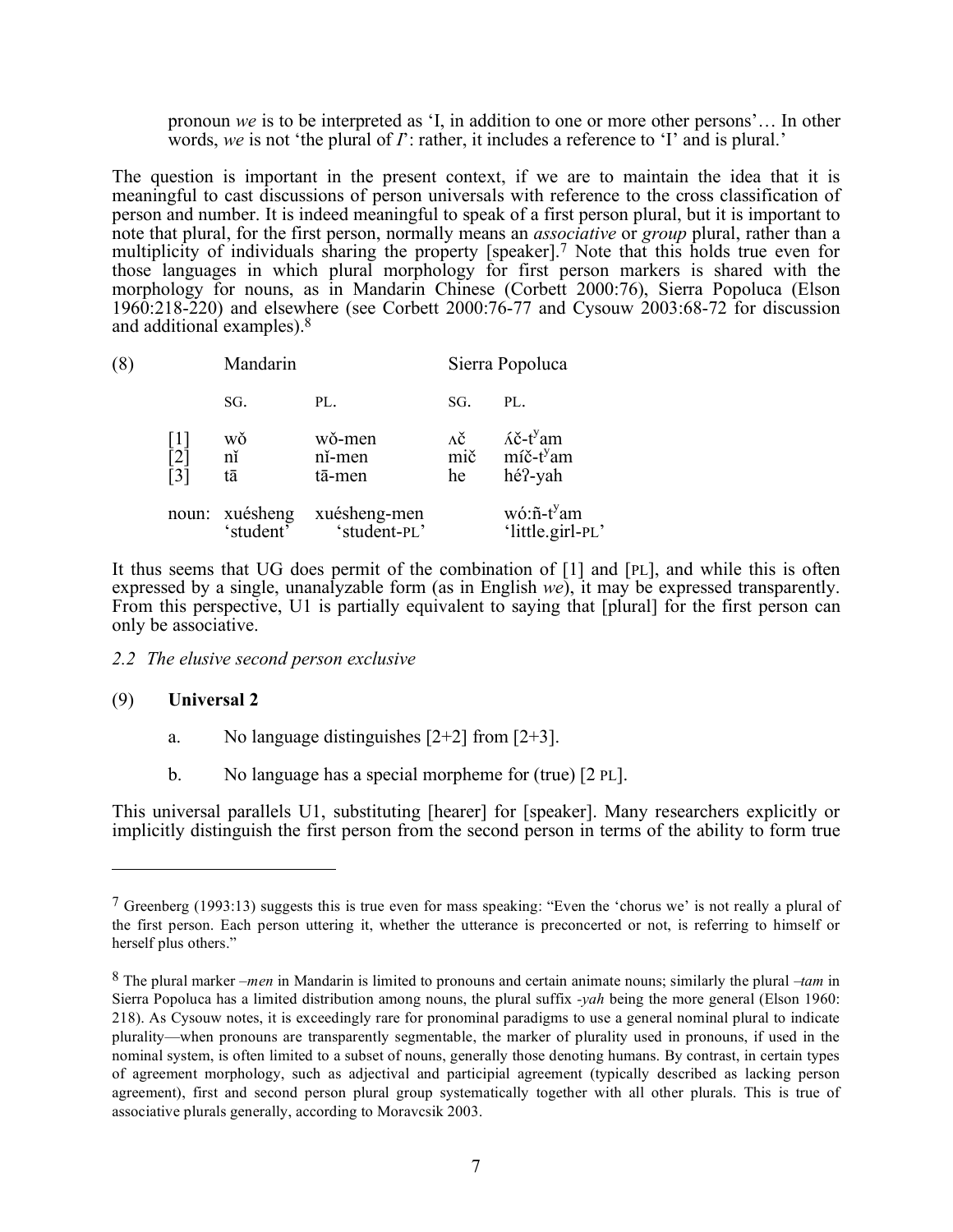pronoun *we* is to be interpreted as 'I, in addition to one or more other persons'… In other words, *we* is not 'the plural of *I*': rather, it includes a reference to 'I' and is plural.'

The question is important in the present context, if we are to maintain the idea that it is meaningful to cast discussions of person universals with reference to the cross classification of person and number. It is indeed meaningful to speak of a first person plural, but it is important to note that plural, for the first person, normally means an *associative* or *group* plural, rather than a multiplicity of individuals sharing the property [speaker]. 7 Note that this holds true even for those languages in which plural morphology for first person markers is shared with the morphology for nouns, as in Mandarin Chinese (Corbett 2000:76), Sierra Popoluca (Elson 1960:218-220) and elsewhere (see Corbett 2000:76-77 and Cysouw 2003:68-72 for discussion and additional examples). 8

| (8) |                                                 | Mandarin                                |                              | Sierra Popoluca |                                                                      |
|-----|-------------------------------------------------|-----------------------------------------|------------------------------|-----------------|----------------------------------------------------------------------|
|     |                                                 | SG.                                     | PL.                          | SG.             | PL.                                                                  |
|     | $\lfloor 1 \rfloor$<br>[2]<br>$\lceil 3 \rceil$ | wŏ<br>$n\check{1}$<br>tā                | wǒ-men<br>ni-men<br>tā-men   | ΛČ<br>mič<br>he | $\tilde{A}$ č-t $^{\text{y}}$ am<br>míč-t <sup>y</sup> am<br>hé?-yah |
|     |                                                 | noun: xuésheng<br>'student <sup>7</sup> | xuésheng-men<br>'student-PL' |                 | $w$ ó:ñ-t <sup>y</sup> am<br>'little.girl-PL'                        |

It thus seems that UG does permit of the combination of [1] and [PL], and while this is often expressed by a single, unanalyzable form (as in English *we*), it may be expressed transparently. From this perspective, U1 is partially equivalent to saying that [plural] for the first person can only be associative.

*2.2 The elusive second person exclusive*

## (9) **Universal 2**

 $\overline{a}$ 

- a. No language distinguishes  $[2+2]$  from  $[2+3]$ .
- b. No language has a special morpheme for (true) [2 PL].

This universal parallels U1, substituting [hearer] for [speaker]. Many researchers explicitly or implicitly distinguish the first person from the second person in terms of the ability to form true

<sup>7</sup> Greenberg (1993:13) suggests this is true even for mass speaking: "Even the 'chorus we' is not really a plural of the first person. Each person uttering it, whether the utterance is preconcerted or not, is referring to himself or herself plus others."

<sup>8</sup> The plural marker *–men* in Mandarin is limited to pronouns and certain animate nouns; similarly the plural –*tam* in Sierra Popoluca has a limited distribution among nouns, the plural suffix *-yah* being the more general (Elson 1960: 218). As Cysouw notes, it is exceedingly rare for pronominal paradigms to use a general nominal plural to indicate plurality—when pronouns are transparently segmentable, the marker of plurality used in pronouns, if used in the nominal system, is often limited to a subset of nouns, generally those denoting humans. By contrast, in certain types of agreement morphology, such as adjectival and participial agreement (typically described as lacking person agreement), first and second person plural group systematically together with all other plurals. This is true of associative plurals generally, according to Moravcsik 2003.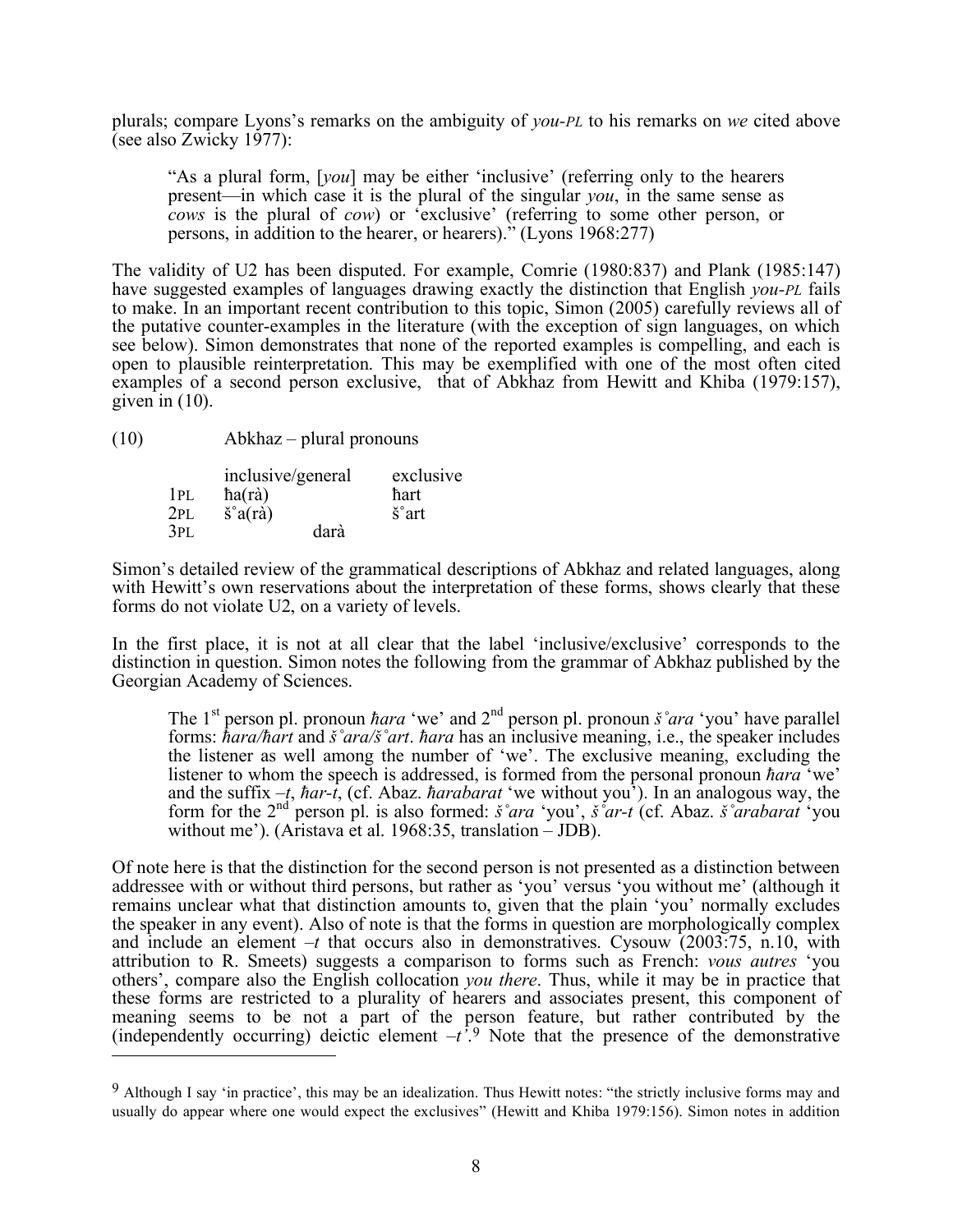plurals; compare Lyons's remarks on the ambiguity of *you-PL* to his remarks on *we* cited above (see also Zwicky 1977):

"As a plural form, [*you*] may be either 'inclusive' (referring only to the hearers present—in which case it is the plural of the singular *you*, in the same sense as *cows* is the plural of *cow*) or 'exclusive' (referring to some other person, or persons, in addition to the hearer, or hearers)." (Lyons 1968:277)

The validity of U2 has been disputed. For example, Comrie (1980:837) and Plank (1985:147) have suggested examples of languages drawing exactly the distinction that English *you-PL* fails to make. In an important recent contribution to this topic, Simon (2005) carefully reviews all of the putative counter-examples in the literature (with the exception of sign languages, on which see below). Simon demonstrates that none of the reported examples is compelling, and each is open to plausible reinterpretation. This may be exemplified with one of the most often cited examples of a second person exclusive, that of Abkhaz from Hewitt and Khiba (1979:157), given in (10).

(10) Abkhaz – plural pronouns

|     | inclusive/general                                         | exclusive                        |
|-----|-----------------------------------------------------------|----------------------------------|
| 1PL | $\hbar a(r\grave{a})$                                     | hart                             |
| 2PL | $\check{\mathrm{s}}^{\circ}a(\mathrm{r}\dot{\mathrm{a}})$ | $\check{\mathrm{s}}^{\circ}$ art |
| 3PL | darà                                                      |                                  |

Simon's detailed review of the grammatical descriptions of Abkhaz and related languages, along with Hewitt's own reservations about the interpretation of these forms, shows clearly that these forms do not violate U2, on a variety of levels.

In the first place, it is not at all clear that the label 'inclusive/exclusive' corresponds to the distinction in question. Simon notes the following from the grammar of Abkhaz published by the Georgian Academy of Sciences.

The 1<sup>st</sup> person pl. pronoun *ħara* 'we' and 2<sup>nd</sup> person pl. pronoun *š<sup>°</sup>ara* 'you' have parallel forms: *ħara/ħart* and *š˚ara/š˚art*. *ħara* has an inclusive meaning, i.e., the speaker includes the listener as well among the number of 'we'. The exclusive meaning, excluding the listener to whom the speech is addressed, is formed from the personal pronoun *ħara* 'we' and the suffix *–t*, *ħar-t*, (cf. Abaz. *ħarabarat* 'we without you'). In an analogous way, the form for the 2nd person pl. is also formed: *š˚ara* 'you', *š˚ar-t* (cf. Abaz. *š˚arabarat* 'you without me'). (Aristava et al. 1968:35, translation – JDB).

Of note here is that the distinction for the second person is not presented as a distinction between addressee with or without third persons, but rather as 'you' versus 'you without me' (although it remains unclear what that distinction amounts to, given that the plain 'you' normally excludes the speaker in any event). Also of note is that the forms in question are morphologically complex and include an element *–t* that occurs also in demonstratives. Cysouw (2003:75, n.10, with attribution to R. Smeets) suggests a comparison to forms such as French: *vous autres* 'you others', compare also the English collocation *you there*. Thus, while it may be in practice that these forms are restricted to a plurality of hearers and associates present, this component of meaning seems to be not a part of the person feature, but rather contributed by the (independently occurring) deictic element  $-t'$ .<sup>9</sup> Note that the presence of the demonstrative  $\overline{a}$ 

<sup>9</sup> Although I say 'in practice', this may be an idealization. Thus Hewitt notes: "the strictly inclusive forms may and usually do appear where one would expect the exclusives" (Hewitt and Khiba 1979:156). Simon notes in addition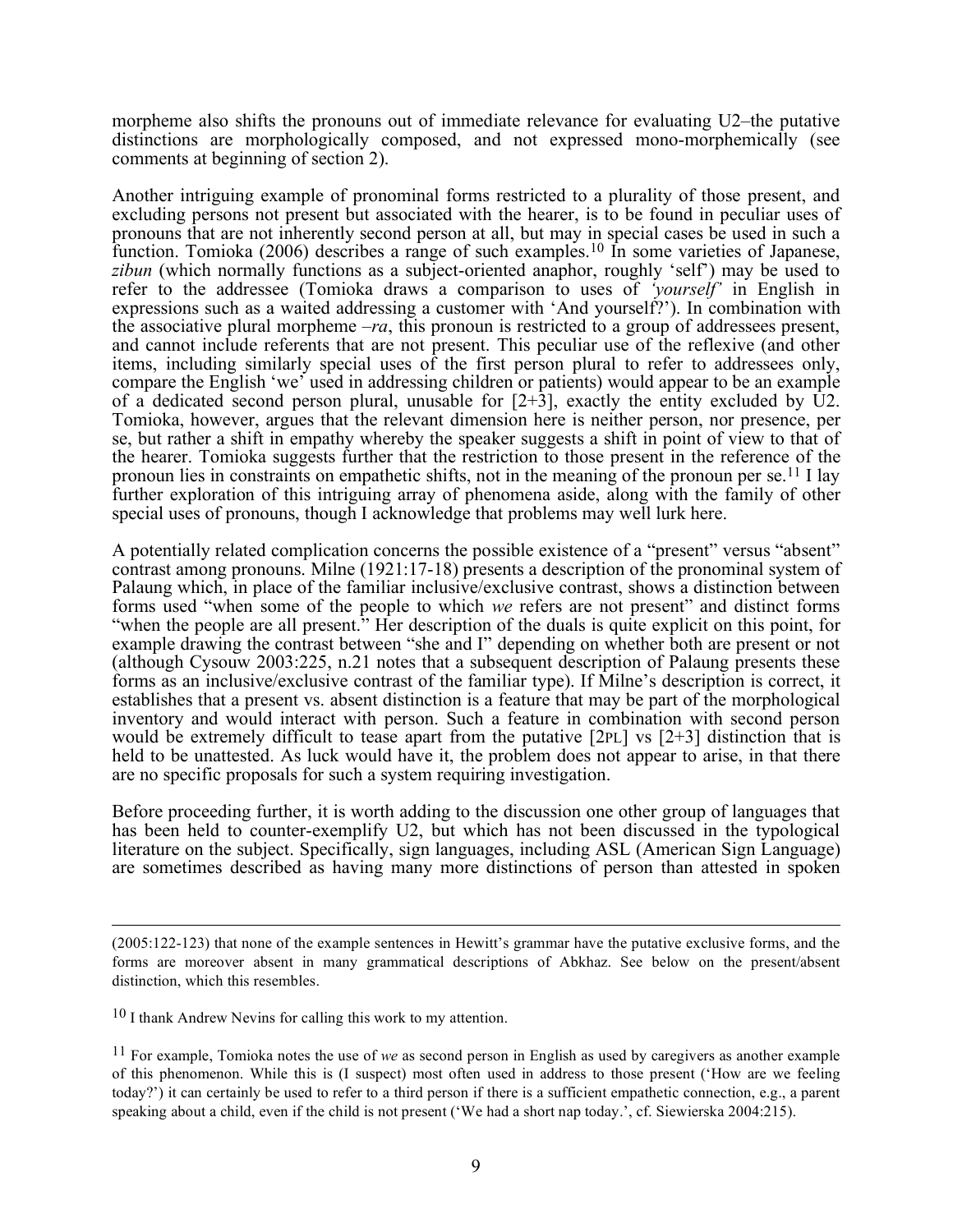morpheme also shifts the pronouns out of immediate relevance for evaluating U2–the putative distinctions are morphologically composed, and not expressed mono-morphemically (see comments at beginning of section 2).

Another intriguing example of pronominal forms restricted to a plurality of those present, and excluding persons not present but associated with the hearer, is to be found in peculiar uses of pronouns that are not inherently second person at all, but may in special cases be used in such a function. Tomioka (2006) describes a range of such examples.10 In some varieties of Japanese, *zibun* (which normally functions as a subject-oriented anaphor, roughly 'self') may be used to refer to the addressee (Tomioka draws a comparison to uses of *'yourself'* in English in expressions such as a waited addressing a customer with 'And yourself?'). In combination with the associative plural morpheme *–ra*, this pronoun is restricted to a group of addressees present, and cannot include referents that are not present. This peculiar use of the reflexive (and other items, including similarly special uses of the first person plural to refer to addressees only, compare the English 'we' used in addressing children or patients) would appear to be an example of a dedicated second person plural, unusable for  $[2+3]$ , exactly the entity excluded by  $\overline{U2}$ . Tomioka, however, argues that the relevant dimension here is neither person, nor presence, per se, but rather a shift in empathy whereby the speaker suggests a shift in point of view to that of the hearer. Tomioka suggests further that the restriction to those present in the reference of the pronoun lies in constraints on empathetic shifts, not in the meaning of the pronoun per se.<sup>11</sup> I lay further exploration of this intriguing array of phenomena aside, along with the family of other special uses of pronouns, though I acknowledge that problems may well lurk here.

A potentially related complication concerns the possible existence of a "present" versus "absent" contrast among pronouns. Milne (1921:17-18) presents a description of the pronominal system of Palaung which, in place of the familiar inclusive/exclusive contrast, shows a distinction between forms used "when some of the people to which *we* refers are not present" and distinct forms "when the people are all present." Her description of the duals is quite explicit on this point, for example drawing the contrast between "she and I" depending on whether both are present or not (although Cysouw 2003:225, n.21 notes that a subsequent description of Palaung presents these forms as an inclusive/exclusive contrast of the familiar type). If Milne's description is correct, it establishes that a present vs. absent distinction is a feature that may be part of the morphological inventory and would interact with person. Such a feature in combination with second person would be extremely difficult to tease apart from the putative  $[2PL]$  vs  $[2+3]$  distinction that is held to be unattested. As luck would have it, the problem does not appear to arise, in that there are no specific proposals for such a system requiring investigation.

Before proceeding further, it is worth adding to the discussion one other group of languages that has been held to counter-exemplify U2, but which has not been discussed in the typological literature on the subject. Specifically, sign languages, including ASL (American Sign Language) are sometimes described as having many more distinctions of person than attested in spoken

10 I thank Andrew Nevins for calling this work to my attention.

 $\overline{a}$ 

<sup>(2005:122-123)</sup> that none of the example sentences in Hewitt's grammar have the putative exclusive forms, and the forms are moreover absent in many grammatical descriptions of Abkhaz. See below on the present/absent distinction, which this resembles.

<sup>11</sup> For example, Tomioka notes the use of *we* as second person in English as used by caregivers as another example of this phenomenon. While this is (I suspect) most often used in address to those present ('How are we feeling today?') it can certainly be used to refer to a third person if there is a sufficient empathetic connection, e.g., a parent speaking about a child, even if the child is not present ('We had a short nap today.', cf. Siewierska 2004:215).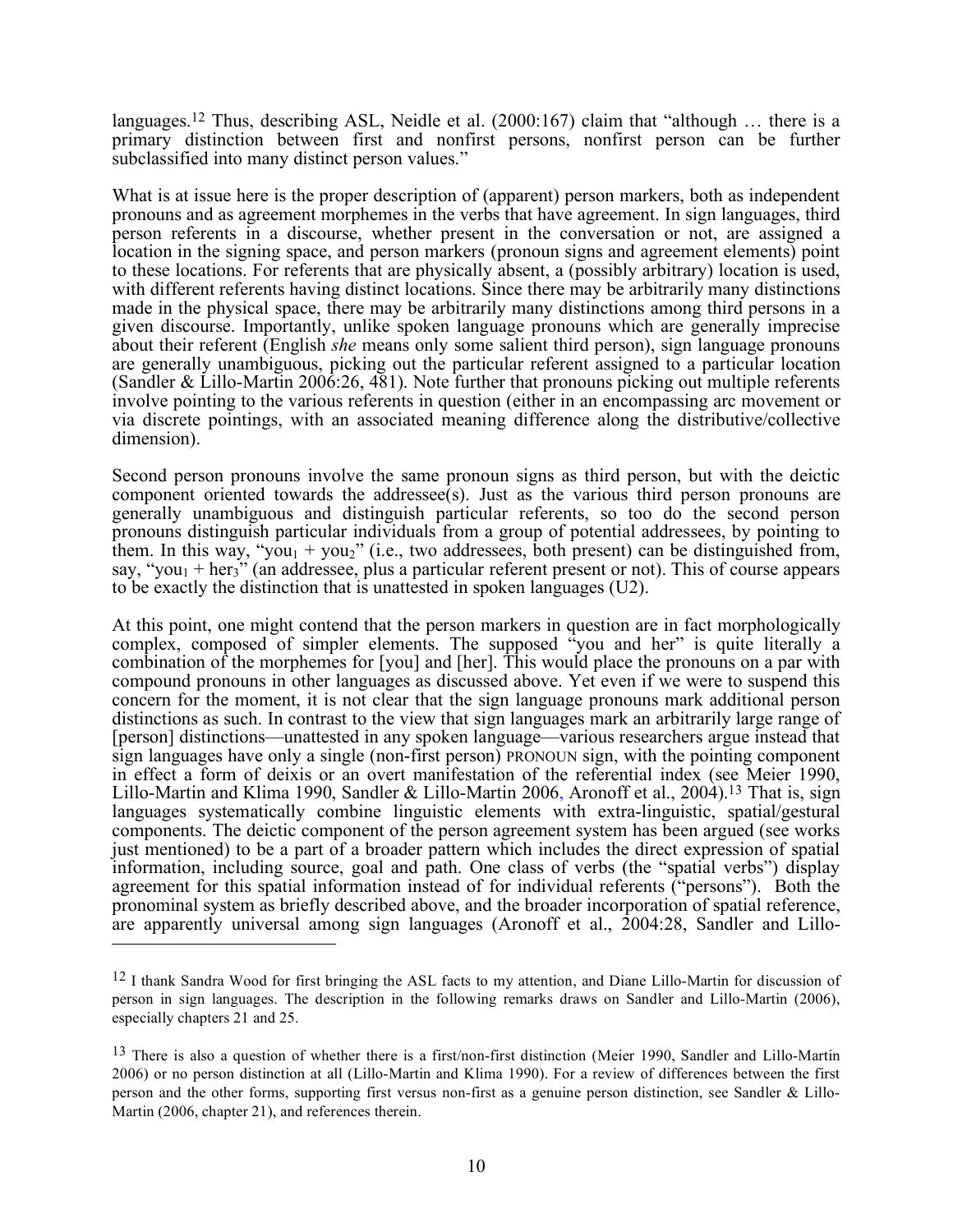languages.<sup>12</sup> Thus, describing ASL, Neidle et al. (2000:167) claim that "although ... there is a primary distinction between first and nonfirst persons, nonfirst person can be further subclassified into many distinct person values."

What is at issue here is the proper description of (apparent) person markers, both as independent pronouns and as agreement morphemes in the verbs that have agreement. In sign languages, third person referents in a discourse, whether present in the conversation or not, are assigned a location in the signing space, and person markers (pronoun signs and agreement elements) point to these locations. For referents that are physically absent, a (possibly arbitrary) location is used, with different referents having distinct locations. Since there may be arbitrarily many distinctions made in the physical space, there may be arbitrarily many distinctions among third persons in a given discourse. Importantly, unlike spoken language pronouns which are generally imprecise about their referent (English *she* means only some salient third person), sign language pronouns are generally unambiguous, picking out the particular referent assigned to a particular location (Sandler & Lillo-Martin 2006:26, 481). Note further that pronouns picking out multiple referents involve pointing to the various referents in question (either in an encompassing arc movement or via discrete pointings, with an associated meaning difference along the distributive/collective dimension).

Second person pronouns involve the same pronoun signs as third person, but with the deictic component oriented towards the addressee $(s)$ . Just as the various third person pronouns are generally unambiguous and distinguish particular referents, so too do the second person pronouns distinguish particular individuals from a group of potential addressees, by pointing to them. In this way, "you<sub>1</sub> + you<sub>2</sub>" (i.e., two addressees, both present) can be distinguished from, say, "you<sub>1</sub> + her<sub>3</sub>" (an addressee, plus a particular referent present or not). This of course appears to be exactly the distinction that is unattested in spoken languages (U2).

At this point, one might contend that the person markers in question are in fact morphologically complex, composed of simpler elements. The supposed "you and her" is quite literally a combination of the morphemes for [you] and [her]. This would place the pronouns on a par with compound pronouns in other languages as discussed above. Yet even if we were to suspend this concern for the moment, it is not clear that the sign language pronouns mark additional person distinctions as such. In contrast to the view that sign languages mark an arbitrarily large range of [person] distinctions—unattested in any spoken language—various researchers argue instead that sign languages have only a single (non-first person) PRONOUN sign, with the pointing component in effect a form of deixis or an overt manifestation of the referential index (see Meier 1990, Lillo-Martin and Klima 1990, Sandler & Lillo-Martin 2006, Aronoff et al., 2004).<sup>13</sup> That is, sign languages systematically combine linguistic elements with extra-linguistic, spatial/gestural components. The deictic component of the person agreement system has been argued (see works just mentioned) to be a part of a broader pattern which includes the direct expression of spatial information, including source, goal and path. One class of verbs (the "spatial verbs") display agreement for this spatial information instead of for individual referents ("persons"). Both the pronominal system as briefly described above, and the broader incorporation of spatial reference, are apparently universal among sign languages (Aronoff et al., 2004:28, Sandler and Lillo-  $\overline{a}$ 

<sup>&</sup>lt;sup>12</sup> I thank Sandra Wood for first bringing the ASL facts to my attention, and Diane Lillo-Martin for discussion of person in sign languages. The description in the following remarks draws on Sandler and Lillo-Martin (2006), especially chapters 21 and 25.

<sup>13</sup> There is also a question of whether there is a first/non-first distinction (Meier 1990, Sandler and Lillo-Martin 2006) or no person distinction at all (Lillo-Martin and Klima 1990). For a review of differences between the first person and the other forms, supporting first versus non-first as a genuine person distinction, see Sandler & Lillo-Martin (2006, chapter 21), and references therein.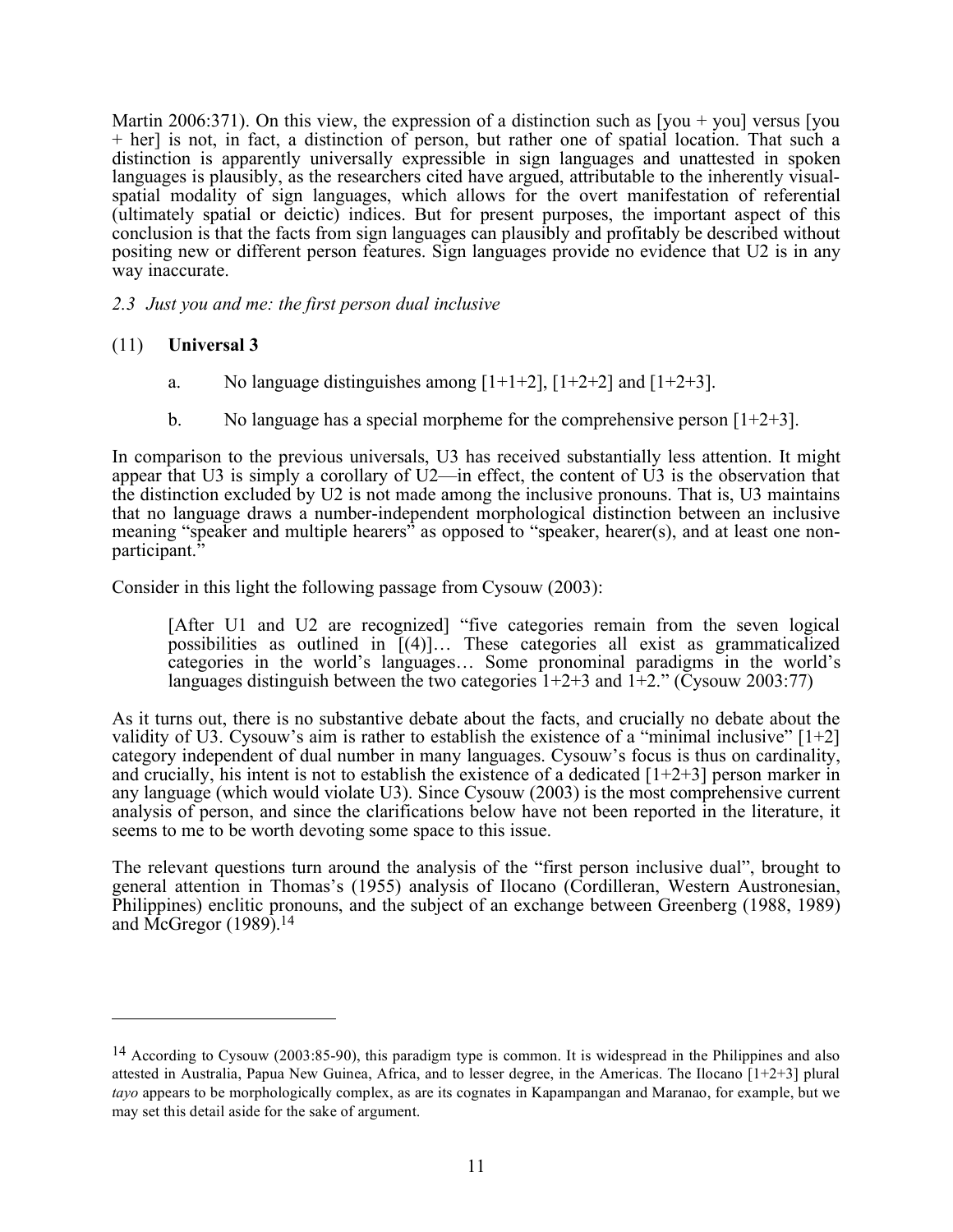Martin 2006:371). On this view, the expression of a distinction such as  $[\text{you} + \text{you}]$  versus  $[\text{you}$ + her] is not, in fact, a distinction of person, but rather one of spatial location. That such a distinction is apparently universally expressible in sign languages and unattested in spoken languages is plausibly, as the researchers cited have argued, attributable to the inherently visualspatial modality of sign languages, which allows for the overt manifestation of referential (ultimately spatial or deictic) indices. But for present purposes, the important aspect of this conclusion is that the facts from sign languages can plausibly and profitably be described without positing new or different person features. Sign languages provide no evidence that U2 is in any way inaccurate.

*2.3 Just you and me: the first person dual inclusive*

# (11) **Universal 3**

 $\overline{a}$ 

- a. No language distinguishes among  $[1+1+2]$ ,  $[1+2+2]$  and  $[1+2+3]$ .
- b. No language has a special morpheme for the comprehensive person  $[1+2+3]$ .

In comparison to the previous universals, U3 has received substantially less attention. It might appear that U3 is simply a corollary of  $U2$ —in effect, the content of  $U3$  is the observation that the distinction excluded by U2 is not made among the inclusive pronouns. That is, U3 maintains that no language draws a number-independent morphological distinction between an inclusive meaning "speaker and multiple hearers" as opposed to "speaker, hearer(s), and at least one nonparticipant."

Consider in this light the following passage from Cysouw (2003):

[After U1 and U2 are recognized] "five categories remain from the seven logical possibilities as outlined in [(4)]… These categories all exist as grammaticalized categories in the world's languages… Some pronominal paradigms in the world's languages distinguish between the two categories  $1+2+3$  and  $1+2$ ." (Cysouw 2003:77)

As it turns out, there is no substantive debate about the facts, and crucially no debate about the validity of U3. Cysouw's aim is rather to establish the existence of a "minimal inclusive"  $[1+2]$ category independent of dual number in many languages. Cysouw's focus is thus on cardinality, and crucially, his intent is not to establish the existence of a dedicated  $[1+2+3]$  person marker in any language (which would violate U3). Since Cysouw (2003) is the most comprehensive current analysis of person, and since the clarifications below have not been reported in the literature, it seems to me to be worth devoting some space to this issue.

The relevant questions turn around the analysis of the "first person inclusive dual", brought to general attention in Thomas's (1955) analysis of Ilocano (Cordilleran, Western Austronesian, Philippines) enclitic pronouns, and the subject of an exchange between Greenberg (1988, 1989) and McGregor (1989). 14

<sup>14</sup> According to Cysouw (2003:85-90), this paradigm type is common. It is widespread in the Philippines and also attested in Australia, Papua New Guinea, Africa, and to lesser degree, in the Americas. The Ilocano [1+2+3] plural *tayo* appears to be morphologically complex, as are its cognates in Kapampangan and Maranao, for example, but we may set this detail aside for the sake of argument.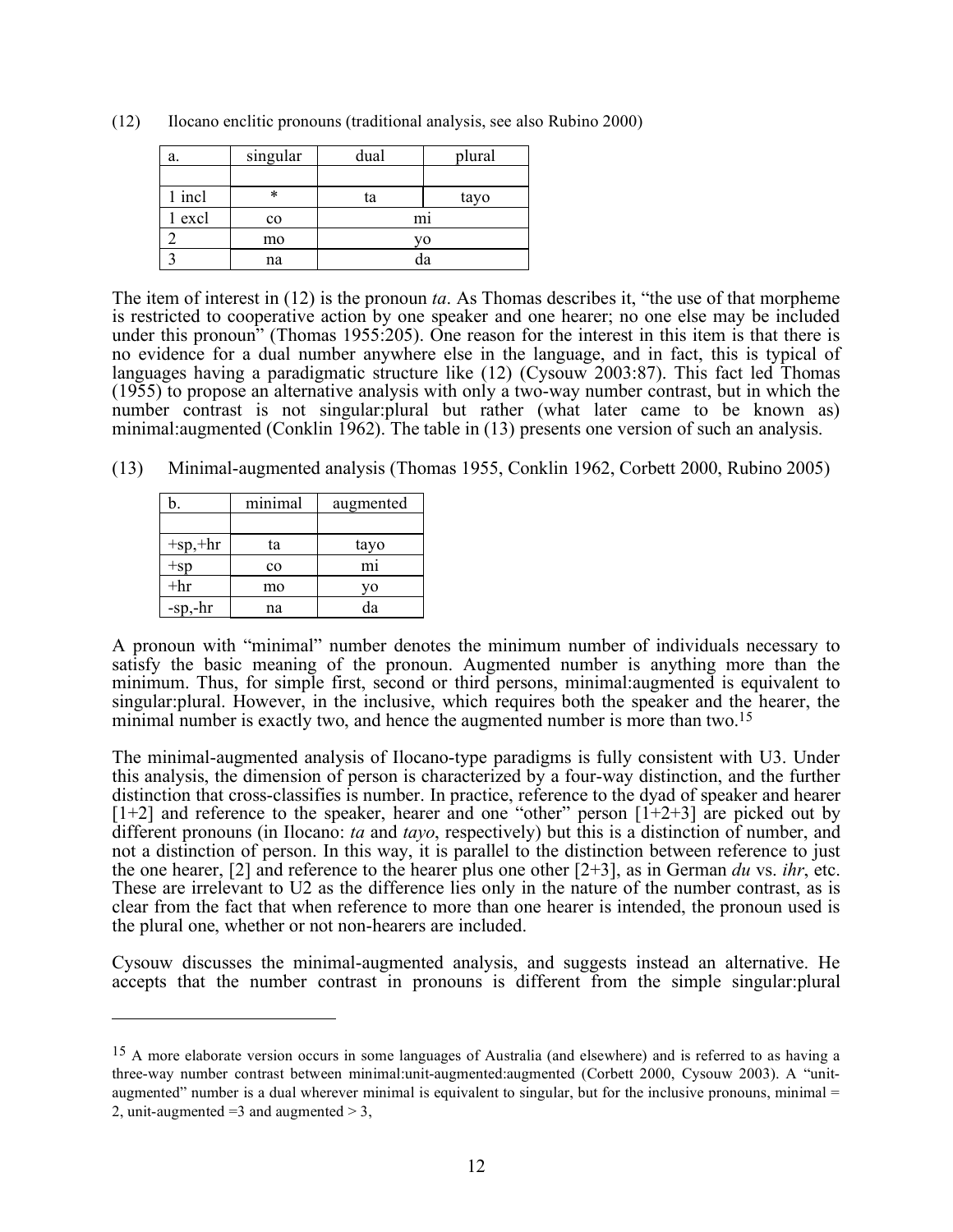| a.     | singular    | dual           | plural |
|--------|-------------|----------------|--------|
|        |             |                |        |
| 1 incl | *           | ta             | tayo   |
| 1 excl | $_{\rm co}$ | m <sub>1</sub> |        |
|        | mo          | V0             |        |
|        | na          | dа             |        |

(12) Ilocano enclitic pronouns (traditional analysis, see also Rubino 2000)

The item of interest in (12) is the pronoun *ta*. As Thomas describes it, "the use of that morpheme is restricted to cooperative action by one speaker and one hearer; no one else may be included under this pronoun" (Thomas 1955:205). One reason for the interest in this item is that there is no evidence for a dual number anywhere else in the language, and in fact, this is typical of languages having a paradigmatic structure like (12) (Cysouw 2003:87). This fact led Thomas (1955) to propose an alternative analysis with only a two-way number contrast, but in which the number contrast is not singular:plural but rather (what later came to be known as) minimal:augmented (Conklin 1962). The table in (13) presents one version of such an analysis.

(13) Minimal-augmented analysis (Thomas 1955, Conklin 1962, Corbett 2000, Rubino 2005)

|            | minimal     | augmented |
|------------|-------------|-----------|
|            |             |           |
| $+sp,+hr$  | ta          | tayo      |
| +sp        | $_{\rm co}$ | mı        |
| +hr        | mo          | V0        |
| $-sp, -hr$ | na          | da        |

 $\overline{a}$ 

A pronoun with "minimal" number denotes the minimum number of individuals necessary to satisfy the basic meaning of the pronoun. Augmented number is anything more than the minimum. Thus, for simple first, second or third persons, minimal:augmented is equivalent to singular:plural. However, in the inclusive, which requires both the speaker and the hearer, the minimal number is exactly two, and hence the augmented number is more than two.<sup>15</sup>

The minimal-augmented analysis of Ilocano-type paradigms is fully consistent with U3. Under this analysis, the dimension of person is characterized by a four-way distinction, and the further distinction that cross-classifies is number. In practice, reference to the dyad of speaker and hearer  $[1+2]$  and reference to the speaker, hearer and one "other" person  $[1+2+3]$  are picked out by different pronouns (in Ilocano: *ta* and *tayo*, respectively) but this is a distinction of number, and not a distinction of person. In this way, it is parallel to the distinction between reference to just the one hearer, [2] and reference to the hearer plus one other [2+3], as in German *du* vs. *ihr*, etc. These are irrelevant to U2 as the difference lies only in the nature of the number contrast, as is clear from the fact that when reference to more than one hearer is intended, the pronoun used is the plural one, whether or not non-hearers are included.

Cysouw discusses the minimal-augmented analysis, and suggests instead an alternative. He accepts that the number contrast in pronouns is different from the simple singular:plural

<sup>15</sup> A more elaborate version occurs in some languages of Australia (and elsewhere) and is referred to as having a three-way number contrast between minimal:unit-augmented:augmented (Corbett 2000, Cysouw 2003). A "unitaugmented" number is a dual wherever minimal is equivalent to singular, but for the inclusive pronouns, minimal = 2, unit-augmented  $=$  3 and augmented  $>$  3,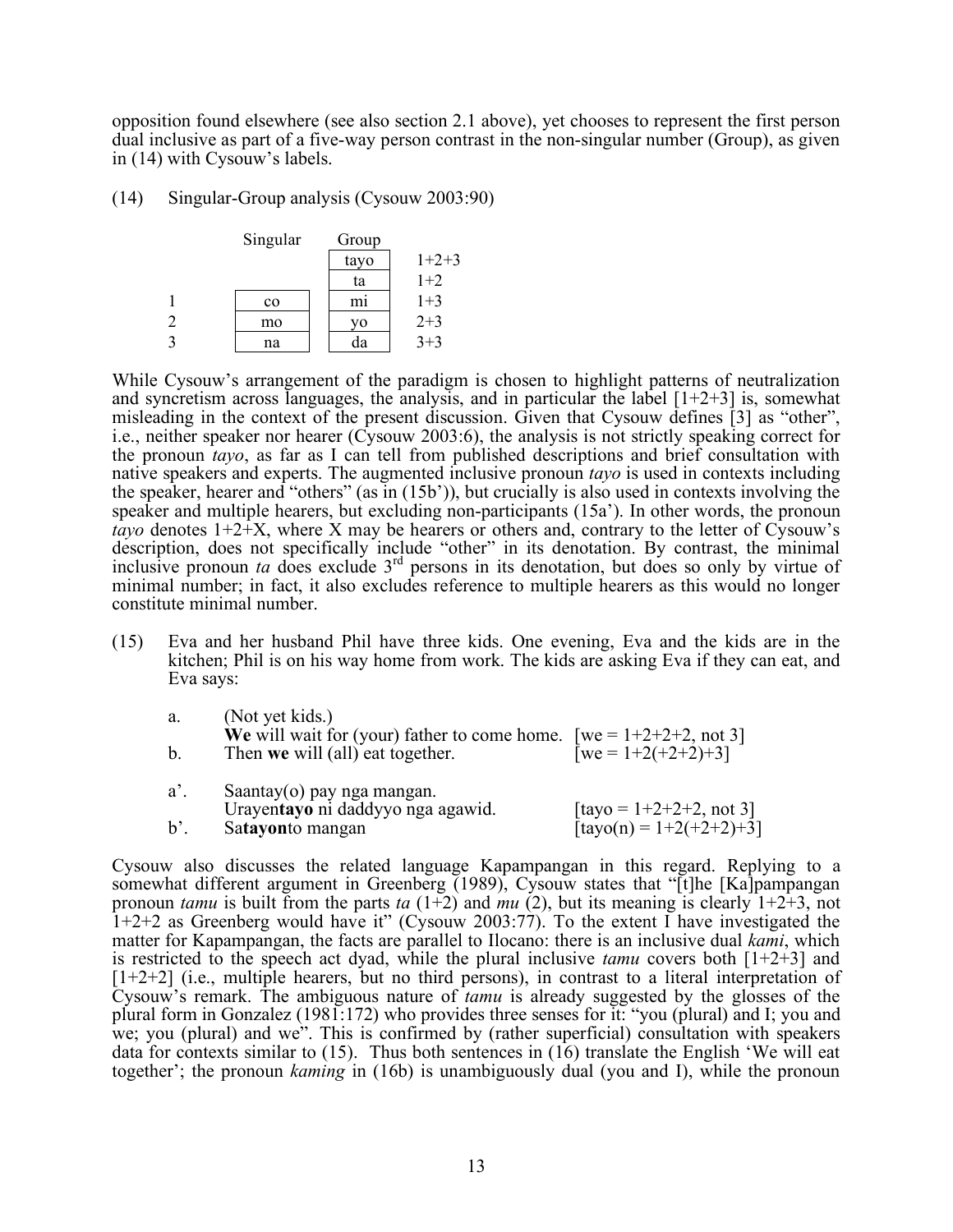opposition found elsewhere (see also section 2.1 above), yet chooses to represent the first person dual inclusive as part of a five-way person contrast in the non-singular number (Group), as given in (14) with Cysouw's labels.

(14) Singular-Group analysis (Cysouw 2003:90)



While Cysouw's arrangement of the paradigm is chosen to highlight patterns of neutralization and syncretism across languages, the analysis, and in particular the label  $[1+2+3]$  is, somewhat misleading in the context of the present discussion. Given that Cysouw defines [3] as "other", i.e., neither speaker nor hearer (Cysouw 2003:6), the analysis is not strictly speaking correct for the pronoun *tayo*, as far as I can tell from published descriptions and brief consultation with native speakers and experts. The augmented inclusive pronoun *tayo* is used in contexts including the speaker, hearer and "others" (as in (15b')), but crucially is also used in contexts involving the speaker and multiple hearers, but excluding non-participants (15a'). In other words, the pronoun *tayo* denotes 1+2+X, where X may be hearers or others and, contrary to the letter of Cysouw's description, does not specifically include "other" in its denotation. By contrast, the minimal inclusive pronoun *ta* does exclude 3rd persons in its denotation, but does so only by virtue of minimal number; in fact, it also excludes reference to multiple hearers as this would no longer constitute minimal number.

(15) Eva and her husband Phil have three kids. One evening, Eva and the kids are in the kitchen; Phil is on his way home from work. The kids are asking Eva if they can eat, and Eva says:

| а.              | (Not yet kids.)<br>We will wait for (your) father to come home. [we = $1+2+2+2$ , not 3] |                                                   |
|-----------------|------------------------------------------------------------------------------------------|---------------------------------------------------|
| b.              | Then we will (all) eat together.                                                         | [we = $1+2(+2+2)+3$ ]                             |
| a'.             | Saantay(o) pay nga mangan.<br>Urayentayo ni daddyyo nga agawid.                          | [tayo = $1+2+2+2$ , not 3]                        |
| $\mathbf{b}'$ . | Satayonto mangan                                                                         | $\left[\text{tayo}(n) = 1 + 2(+2 + 2) + 3\right]$ |

Cysouw also discusses the related language Kapampangan in this regard. Replying to a somewhat different argument in Greenberg (1989), Cysouw states that "[t]he [Ka]pampangan pronoun *tamu* is built from the parts *ta* (1+2) and  $mu(2)$ , but its meaning is clearly 1+2+3, not  $1+2+2$  as Greenberg would have it" (Cysouw 2003:77). To the extent I have investigated the matter for Kapampangan, the facts are parallel to Ilocano: there is an inclusive dual *kami*, which is restricted to the speech act dyad, while the plural inclusive *tamu* covers both [1+2+3] and [1+2+2] (i.e., multiple hearers, but no third persons), in contrast to a literal interpretation of Cysouw's remark. The ambiguous nature of *tamu* is already suggested by the glosses of the plural form in Gonzalez (1981:172) who provides three senses for it: "you (plural) and I; you and we; you (plural) and we<sup>"</sup>. This is confirmed by (rather superficial) consultation with speakers data for contexts similar to (15). Thus both sentences in (16) translate the English 'We will eat together'; the pronoun *kaming* in (16b) is unambiguously dual (you and I), while the pronoun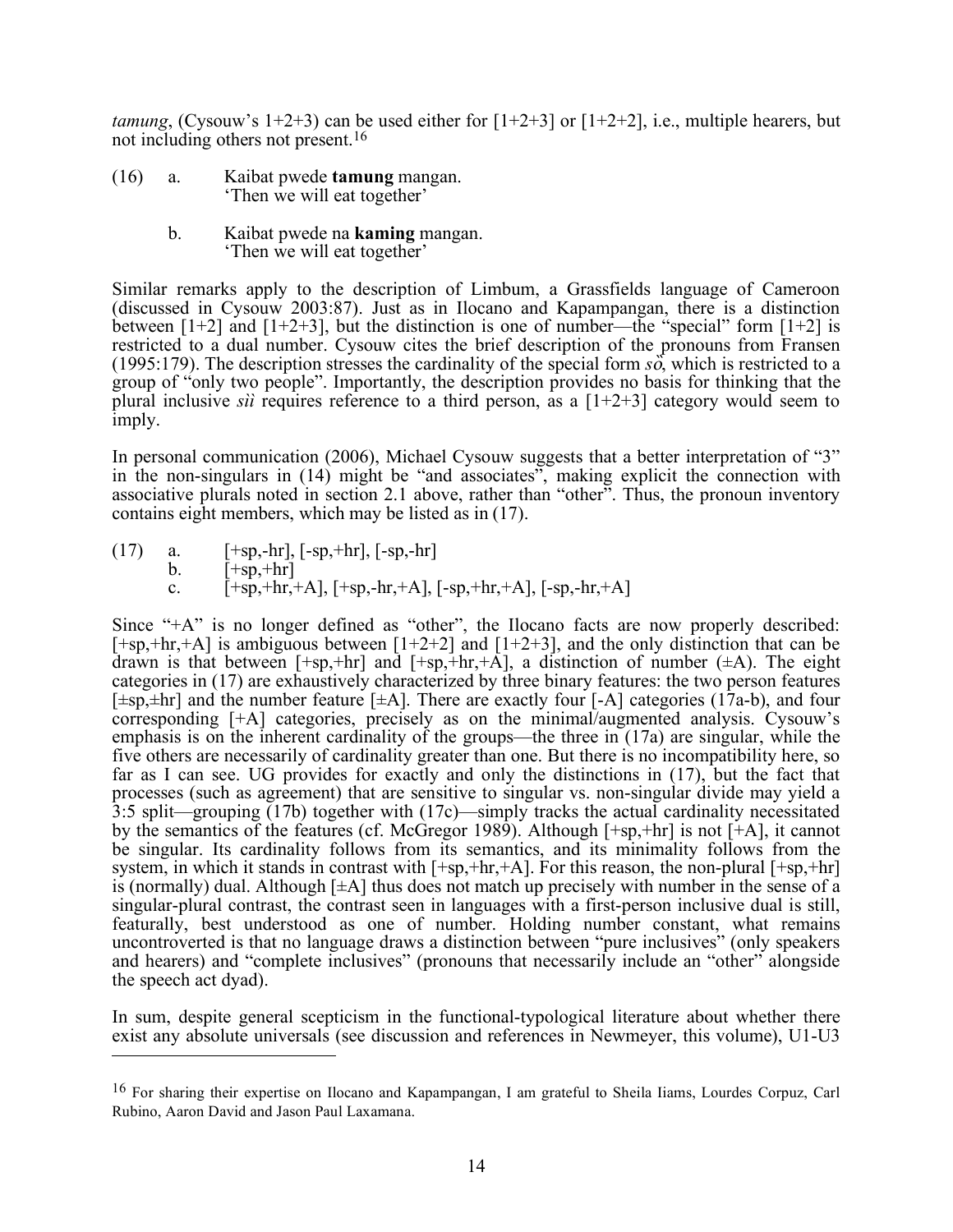*tamung*, (Cysouw's 1+2+3) can be used either for  $[1+2+3]$  or  $[1+2+2]$ , i.e., multiple hearers, but not including others not present. 16

- (16) a. Kaibat pwede **tamung** mangan. 'Then we will eat together'
	- b. Kaibat pwede na **kaming** mangan. 'Then we will eat together'

Similar remarks apply to the description of Limbum, a Grassfields language of Cameroon (discussed in Cysouw 2003:87). Just as in Ilocano and Kapampangan, there is a distinction between  $[1+2]$  and  $[1+2+3]$ , but the distinction is one of number—the "special" form  $[1+2]$  is restricted to a dual number. Cysouw cites the brief description of the pronouns from Fransen (1995:179). The description stresses the cardinality of the special form  $s\ddot{\phi}$ , which is restricted to a group of "only two people". Importantly, the description provides no basis for thinking that the plural inclusive *siì* requires reference to a third person, as a  $[1+2+3]$  category would seem to imply.

In personal communication (2006), Michael Cysouw suggests that a better interpretation of "3" in the non-singulars in (14) might be "and associates", making explicit the connection with associative plurals noted in section 2.1 above, rather than "other". Thus, the pronoun inventory contains eight members, which may be listed as in (17).

(17) a. [+sp,-hr], [-sp,+hr], [-sp,-hr] b.  $[+sp,+hr]$ c.  $[\frac{+sp}{+hr}, +A]$ ,  $[\frac{+sp}{-hr}, +A]$ ,  $[\frac{-sp}{+hr}, +A]$ ,  $[\frac{-sp}{-hr}, +A]$ 

Since "+A" is no longer defined as "other", the Ilocano facts are now properly described:  $[-\text{sp},+\text{hr},+\text{Al}]$  is ambiguous between  $[1+2+2]$  and  $[1+2+3]$ , and the only distinction that can be drawn is that between  $[+sp,+hr]$  and  $[+sp,+hr,+A]$ , a distinction of number  $(\pm A)$ . The eight categories in (17) are exhaustively characterized by three binary features: the two person features  $[\pm sp, \pm hr]$  and the number feature  $[\pm A]$ . There are exactly four  $[-A]$  categories (17a-b), and four corresponding [+A] categories, precisely as on the minimal/augmented analysis. Cysouw's emphasis is on the inherent cardinality of the groups—the three in (17a) are singular, while the five others are necessarily of cardinality greater than one. But there is no incompatibility here, so far as I can see. UG provides for exactly and only the distinctions in (17), but the fact that processes (such as agreement) that are sensitive to singular vs. non-singular divide may yield a 3:5 split—grouping (17b) together with (17c)—simply tracks the actual cardinality necessitated by the semantics of the features (cf. McGregor 1989). Although [+sp,+hr] is not [+A], it cannot be singular. Its cardinality follows from its semantics, and its minimality follows from the system, in which it stands in contrast with  $[+sp,+hr,+A]$ . For this reason, the non-plural  $[+sp,+hr]$ is (normally) dual. Although  $[\pm A]$  thus does not match up precisely with number in the sense of a singular-plural contrast, the contrast seen in languages with a first-person inclusive dual is still, featurally, best understood as one of number. Holding number constant, what remains uncontroverted is that no language draws a distinction between "pure inclusives" (only speakers and hearers) and "complete inclusives" (pronouns that necessarily include an "other" alongside the speech act dyad).

In sum, despite general scepticism in the functional-typological literature about whether there exist any absolute universals (see discussion and references in Newmeyer, this volume), U1-U3  $\overline{a}$ 

<sup>16</sup> For sharing their expertise on Ilocano and Kapampangan, I am grateful to Sheila Iiams, Lourdes Corpuz, Carl Rubino, Aaron David and Jason Paul Laxamana.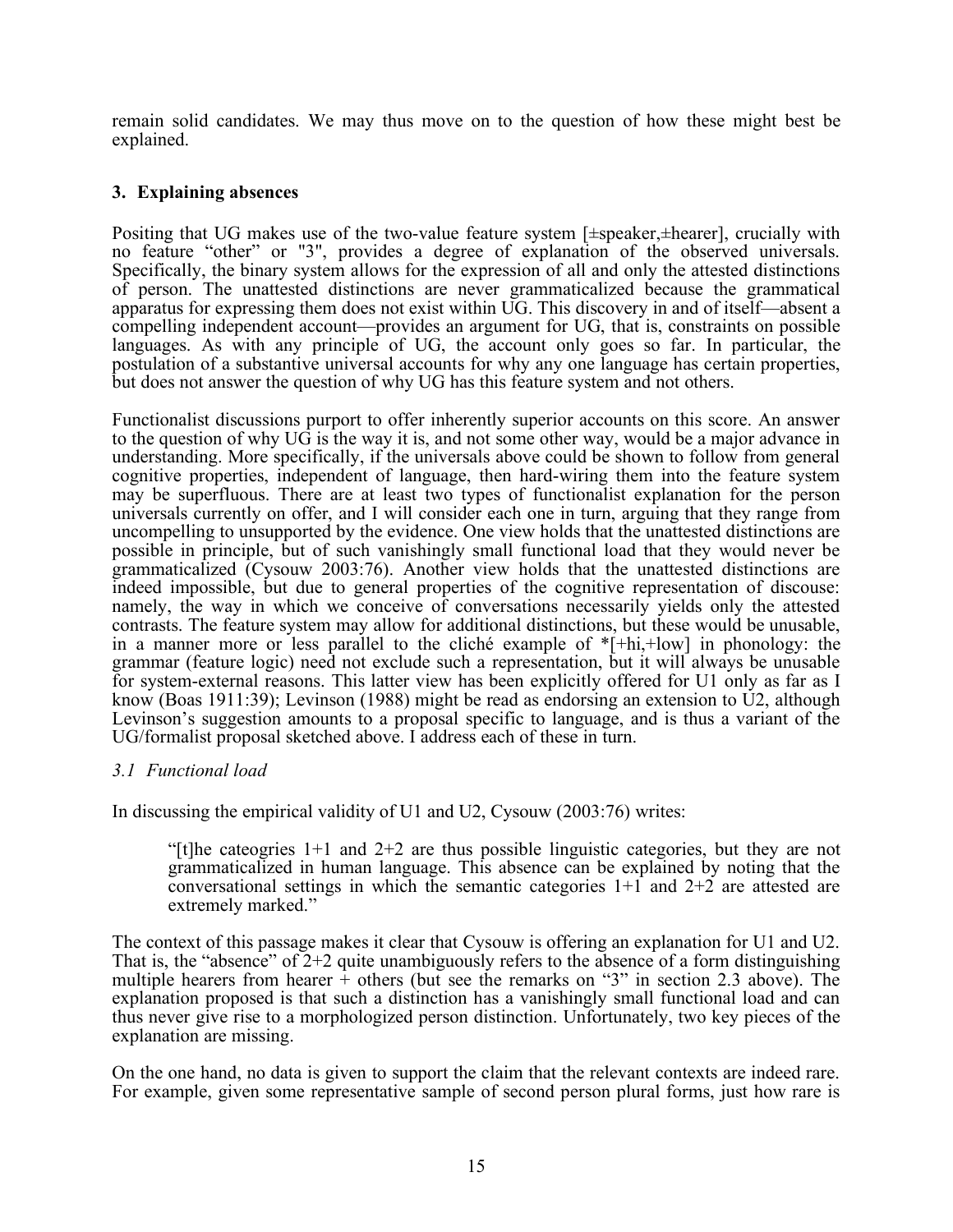remain solid candidates. We may thus move on to the question of how these might best be explained.

# **3. Explaining absences**

Positing that UG makes use of the two-value feature system [±speaker,±hearer], crucially with no feature "other" or "3", provides a degree of explanation of the observed universals. Specifically, the binary system allows for the expression of all and only the attested distinctions of person. The unattested distinctions are never grammaticalized because the grammatical apparatus for expressing them does not exist within UG. This discovery in and of itself—absent a compelling independent account—provides an argument for UG, that is, constraints on possible languages. As with any principle of UG, the account only goes so far. In particular, the postulation of a substantive universal accounts for why any one language has certain properties, but does not answer the question of why UG has this feature system and not others.

Functionalist discussions purport to offer inherently superior accounts on this score. An answer to the question of why UG is the way it is, and not some other way, would be a major advance in understanding. More specifically, if the universals above could be shown to follow from general cognitive properties, independent of language, then hard-wiring them into the feature system may be superfluous. There are at least two types of functionalist explanation for the person universals currently on offer, and I will consider each one in turn, arguing that they range from uncompelling to unsupported by the evidence. One view holds that the unattested distinctions are possible in principle, but of such vanishingly small functional load that they would never be grammaticalized (Cysouw 2003:76). Another view holds that the unattested distinctions are indeed impossible, but due to general properties of the cognitive representation of discouse: namely, the way in which we conceive of conversations necessarily yields only the attested contrasts. The feature system may allow for additional distinctions, but these would be unusable, in a manner more or less parallel to the cliché example of \*[+hi,+low] in phonology: the grammar (feature logic) need not exclude such a representation, but it will always be unusable for system-external reasons. This latter view has been explicitly offered for U1 only as far as I know (Boas 1911:39); Levinson (1988) might be read as endorsing an extension to U2, although Levinson's suggestion amounts to a proposal specific to language, and is thus a variant of the UG/formalist proposal sketched above. I address each of these in turn.

## *3.1 Functional load*

In discussing the empirical validity of U1 and U2, Cysouw (2003:76) writes:

"[t]he cateogries 1+1 and 2+2 are thus possible linguistic categories, but they are not grammaticalized in human language. This absence can be explained by noting that the conversational settings in which the semantic categories 1+1 and 2+2 are attested are extremely marked."

The context of this passage makes it clear that Cysouw is offering an explanation for U1 and U2. That is, the "absence" of 2+2 quite unambiguously refers to the absence of a form distinguishing multiple hearers from hearer  $\dot{+}$  others (but see the remarks on "3" in section 2.3 above). The explanation proposed is that such a distinction has a vanishingly small functional load and can thus never give rise to a morphologized person distinction. Unfortunately, two key pieces of the explanation are missing.

On the one hand, no data is given to support the claim that the relevant contexts are indeed rare. For example, given some representative sample of second person plural forms, just how rare is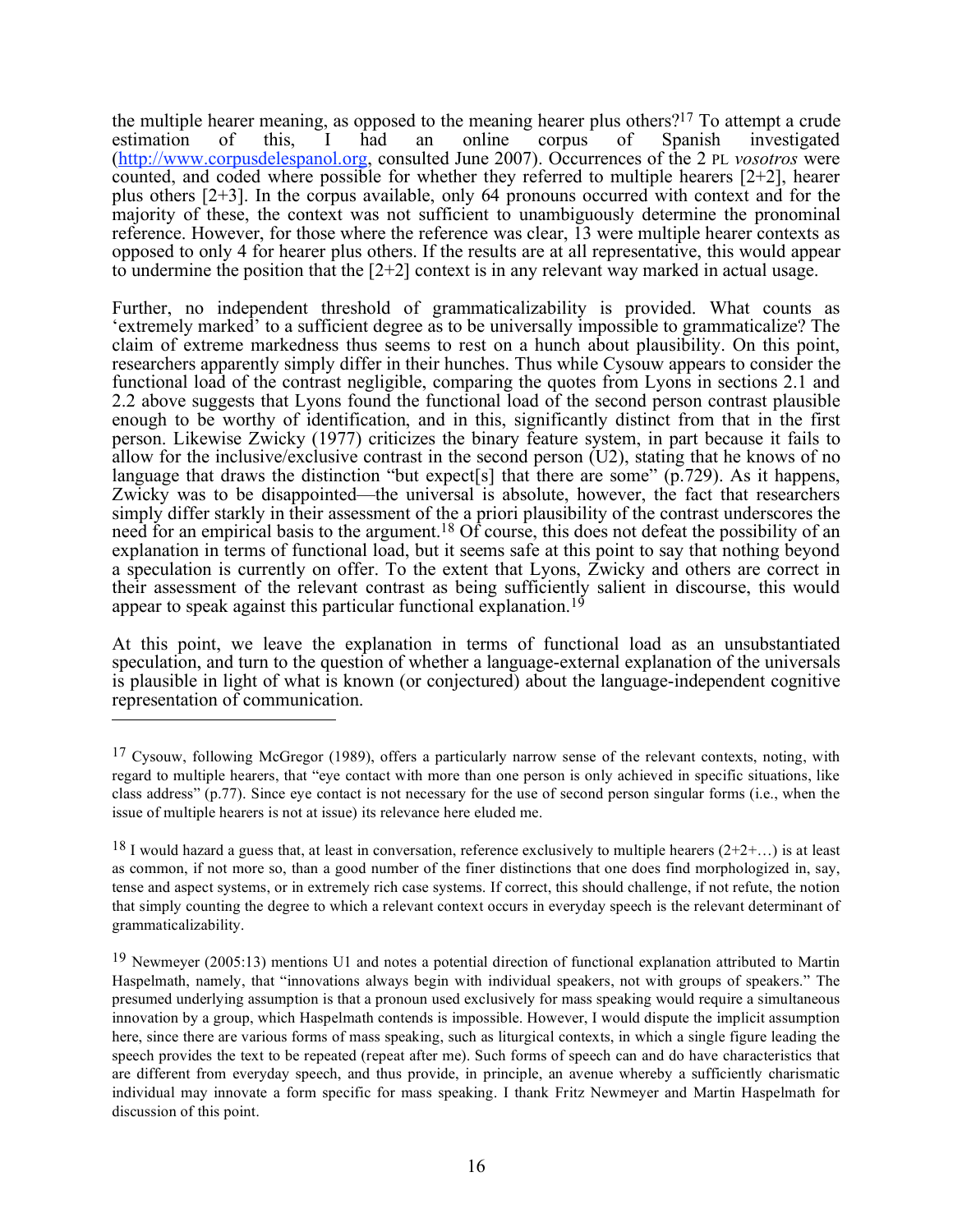the multiple hearer meaning, as opposed to the meaning hearer plus others?<sup>17</sup> To attempt a crude estimation of this. I had an online corpus of Spanish investigated estimation of this, I had an online corpus of Spanish investigated (http://www.corpusdelespanol.org, consulted June 2007). Occurrences of the 2 PL *vosotros* were counted, and coded where possible for whether they referred to multiple hearers [2+2], hearer plus others [2+3]. In the corpus available, only 64 pronouns occurred with context and for the majority of these, the context was not sufficient to unambiguously determine the pronominal reference. However, for those where the reference was clear, 13 were multiple hearer contexts as opposed to only 4 for hearer plus others. If the results are at all representative, this would appear to undermine the position that the  $[2+2]$  context is in any relevant way marked in actual usage.

Further, no independent threshold of grammaticalizability is provided. What counts as 'extremely marked' to a sufficient degree as to be universally impossible to grammaticalize? The claim of extreme markedness thus seems to rest on a hunch about plausibility. On this point, researchers apparently simply differ in their hunches. Thus while Cysouw appears to consider the functional load of the contrast negligible, comparing the quotes from Lyons in sections 2.1 and 2.2 above suggests that Lyons found the functional load of the second person contrast plausible enough to be worthy of identification, and in this, significantly distinct from that in the first person. Likewise Zwicky (1977) criticizes the binary feature system, in part because it fails to allow for the inclusive/exclusive contrast in the second person  $(U2)$ , stating that he knows of no language that draws the distinction "but expect[s] that there are some" (p.729). As it happens, Zwicky was to be disappointed—the universal is absolute, however, the fact that researchers simply differ starkly in their assessment of the a priori plausibility of the contrast underscores the need for an empirical basis to the argument.<sup>18</sup> Of course, this does not defeat the possibility of an explanation in terms of functional load, but it seems safe at this point to say that nothing beyond a speculation is currently on offer. To the extent that Lyons, Zwicky and others are correct in their assessment of the relevant contrast as being sufficiently salient in discourse, this would appear to speak against this particular functional explanation.19

At this point, we leave the explanation in terms of functional load as an unsubstantiated speculation, and turn to the question of whether a language-external explanation of the universals is plausible in light of what is known (or conjectured) about the language-independent cognitive representation of communication.  $\overline{a}$ 

<sup>17</sup> Cysouw, following McGregor (1989), offers a particularly narrow sense of the relevant contexts, noting, with regard to multiple hearers, that "eye contact with more than one person is only achieved in specific situations, like class address" (p.77). Since eye contact is not necessary for the use of second person singular forms (i.e., when the issue of multiple hearers is not at issue) its relevance here eluded me.

<sup>&</sup>lt;sup>18</sup> I would hazard a guess that, at least in conversation, reference exclusively to multiple hearers  $(2+2+...)$  is at least as common, if not more so, than a good number of the finer distinctions that one does find morphologized in, say, tense and aspect systems, or in extremely rich case systems. If correct, this should challenge, if not refute, the notion that simply counting the degree to which a relevant context occurs in everyday speech is the relevant determinant of grammaticalizability.

<sup>19</sup> Newmeyer (2005:13) mentions U1 and notes a potential direction of functional explanation attributed to Martin Haspelmath, namely, that "innovations always begin with individual speakers, not with groups of speakers." The presumed underlying assumption is that a pronoun used exclusively for mass speaking would require a simultaneous innovation by a group, which Haspelmath contends is impossible. However, I would dispute the implicit assumption here, since there are various forms of mass speaking, such as liturgical contexts, in which a single figure leading the speech provides the text to be repeated (repeat after me). Such forms of speech can and do have characteristics that are different from everyday speech, and thus provide, in principle, an avenue whereby a sufficiently charismatic individual may innovate a form specific for mass speaking. I thank Fritz Newmeyer and Martin Haspelmath for discussion of this point.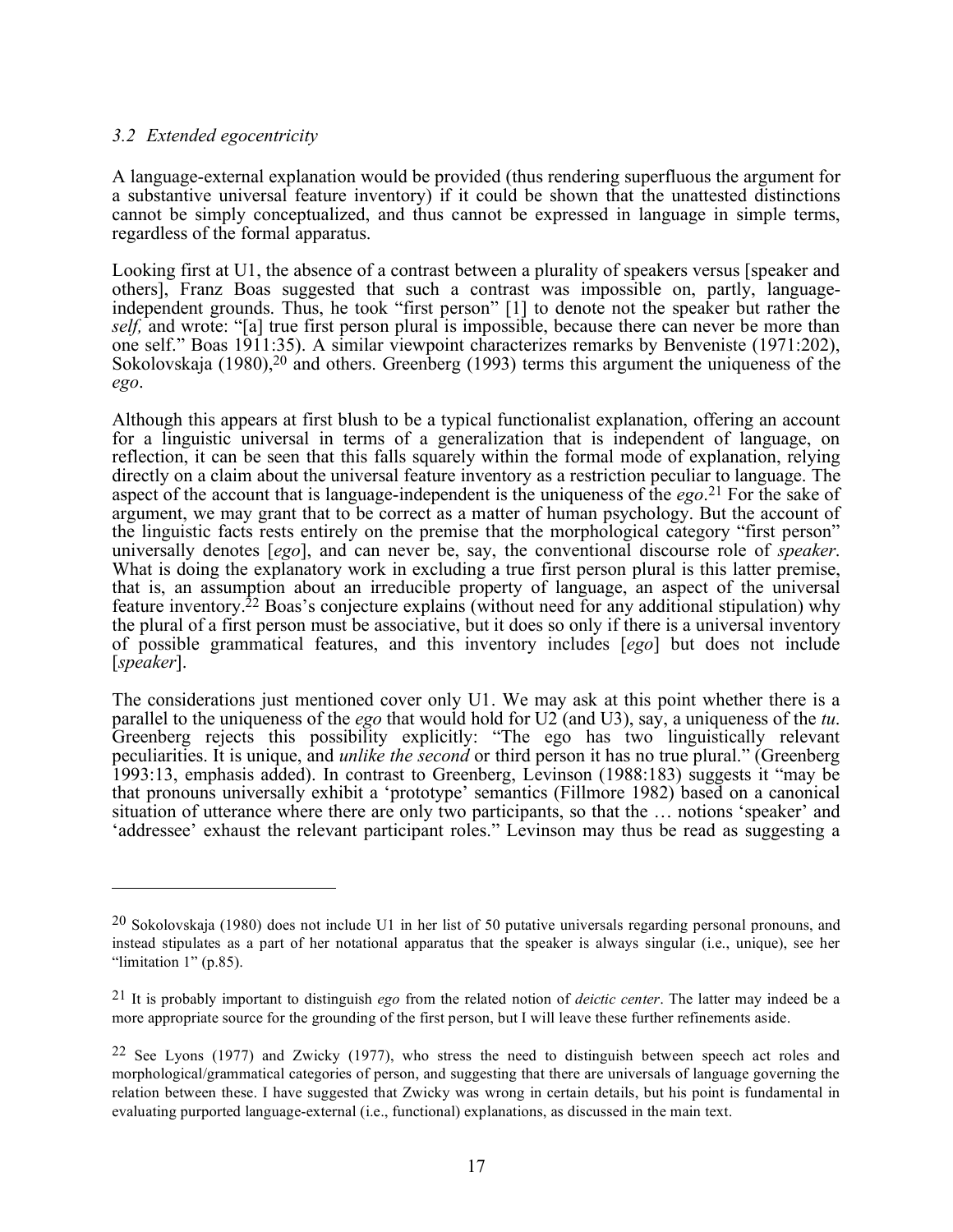### *3.2 Extended egocentricity*

 $\overline{a}$ 

A language-external explanation would be provided (thus rendering superfluous the argument for a substantive universal feature inventory) if it could be shown that the unattested distinctions cannot be simply conceptualized, and thus cannot be expressed in language in simple terms, regardless of the formal apparatus.

Looking first at U1, the absence of a contrast between a plurality of speakers versus [speaker and others], Franz Boas suggested that such a contrast was impossible on, partly, languageindependent grounds. Thus, he took "first person" [1] to denote not the speaker but rather the *self,* and wrote: "[a] true first person plural is impossible, because there can never be more than one self." Boas 1911:35). A similar viewpoint characterizes remarks by Benveniste (1971:202), Sokolovskaja (1980),<sup>20</sup> and others. Greenberg (1993) terms this argument the uniqueness of the *ego*.

Although this appears at first blush to be a typical functionalist explanation, offering an account for a linguistic universal in terms of a generalization that is independent of language, on reflection, it can be seen that this falls squarely within the formal mode of explanation, relying directly on a claim about the universal feature inventory as a restriction peculiar to language. The aspect of the account that is language-independent is the uniqueness of the *ego*.21 For the sake of argument, we may grant that to be correct as a matter of human psychology. But the account of the linguistic facts rests entirely on the premise that the morphological category "first person" universally denotes [*ego*], and can never be, say, the conventional discourse role of *speaker*. What is doing the explanatory work in excluding a true first person plural is this latter premise, that is, an assumption about an irreducible property of language, an aspect of the universal feature inventory.22 Boas's conjecture explains (without need for any additional stipulation) why the plural of a first person must be associative, but it does so only if there is a universal inventory of possible grammatical features, and this inventory includes [*ego*] but does not include [*speaker*].

The considerations just mentioned cover only U1. We may ask at this point whether there is a parallel to the uniqueness of the *ego* that would hold for U2 (and U3), say, a uniqueness of the *tu*. Greenberg rejects this possibility explicitly: "The ego has two linguistically relevant peculiarities. It is unique, and *unlike the second* or third person it has no true plural." (Greenberg 1993:13, emphasis added). In contrast to Greenberg, Levinson (1988:183) suggests it "may be that pronouns universally exhibit a 'prototype' semantics (Fillmore 1982) based on a canonical 'addressee' exhaust the relevant participant roles." Levinson may thus be read as suggesting a

<sup>20</sup> Sokolovskaja (1980) does not include U1 in her list of 50 putative universals regarding personal pronouns, and instead stipulates as a part of her notational apparatus that the speaker is always singular (i.e., unique), see her "limitation 1" (p.85).

<sup>21</sup> It is probably important to distinguish *ego* from the related notion of *deictic center*. The latter may indeed be a more appropriate source for the grounding of the first person, but I will leave these further refinements aside.

<sup>22</sup> See Lyons (1977) and Zwicky (1977), who stress the need to distinguish between speech act roles and morphological/grammatical categories of person, and suggesting that there are universals of language governing the relation between these. I have suggested that Zwicky was wrong in certain details, but his point is fundamental in evaluating purported language-external (i.e., functional) explanations, as discussed in the main text.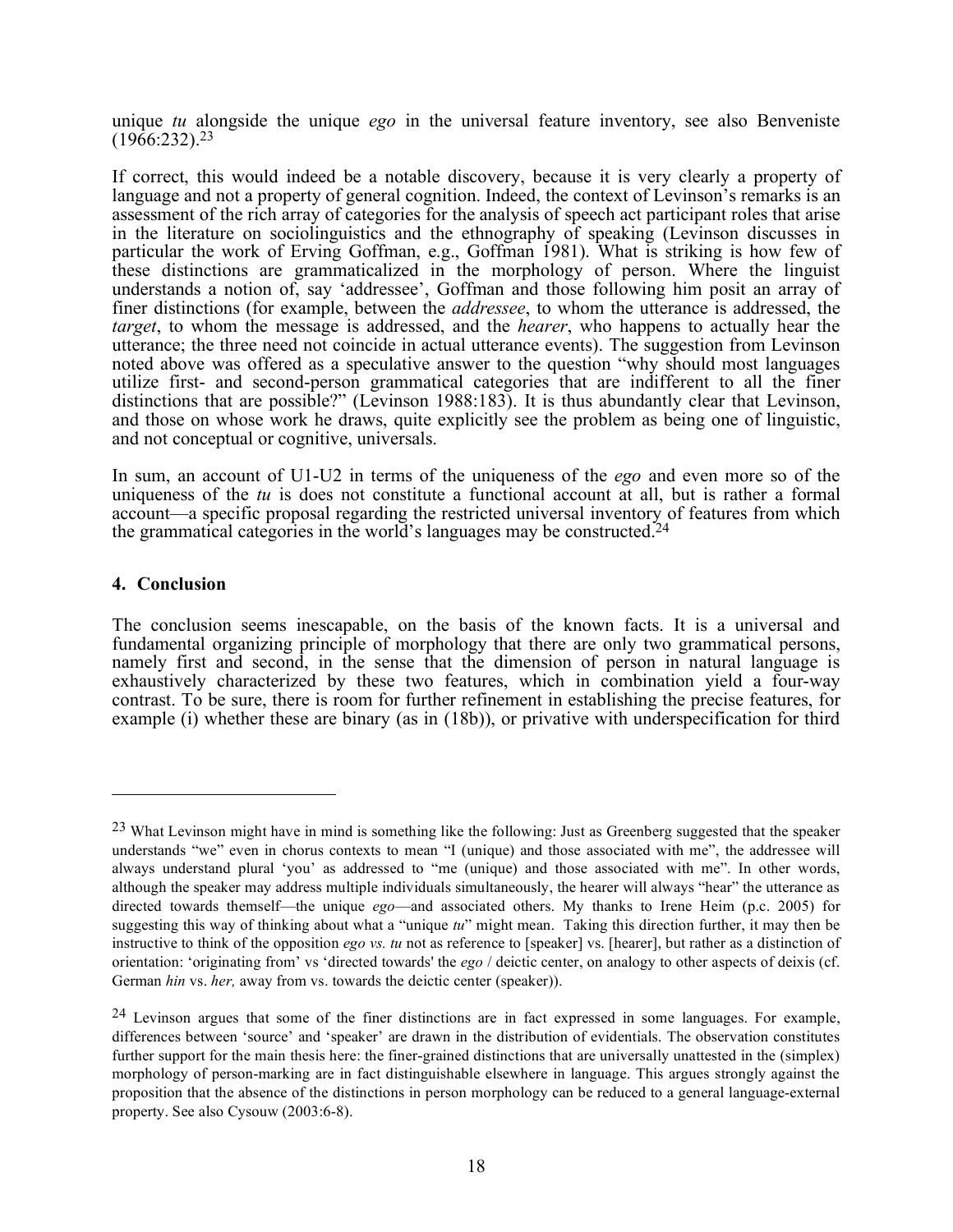unique *tu* alongside the unique *ego* in the universal feature inventory, see also Benveniste (1966:232). 23

If correct, this would indeed be a notable discovery, because it is very clearly a property of language and not a property of general cognition. Indeed, the context of Levinson's remarks is an assessment of the rich array of categories for the analysis of speech act participant roles that arise in the literature on sociolinguistics and the ethnography of speaking (Levinson discusses in particular the work of Erving Goffman, e.g., Goffman 1981). What is striking is how few of these distinctions are grammaticalized in the morphology of person. Where the linguist understands a notion of, say 'addressee', Goffman and those following him posit an array of finer distinctions (for example, between the *addressee*, to whom the utterance is addressed, the *target*, to whom the message is addressed, and the *hearer*, who happens to actually hear the utterance; the three need not coincide in actual utterance events). The suggestion from Levinson noted above was offered as a speculative answer to the question "why should most languages utilize first- and second-person grammatical categories that are indifferent to all the finer distinctions that are possible?" (Levinson 1988:183). It is thus abundantly clear that Levinson, and those on whose work he draws, quite explicitly see the problem as being one of linguistic, and not conceptual or cognitive, universals.

In sum, an account of U1-U2 in terms of the uniqueness of the *ego* and even more so of the uniqueness of the *tu* is does not constitute a functional account at all, but is rather a formal account—a specific proposal regarding the restricted universal inventory of features from which the grammatical categories in the world's languages may be constructed.24

### **4. Conclusion**

 $\overline{a}$ 

The conclusion seems inescapable, on the basis of the known facts. It is a universal and fundamental organizing principle of morphology that there are only two grammatical persons, namely first and second, in the sense that the dimension of person in natural language is exhaustively characterized by these two features, which in combination yield a four-way contrast. To be sure, there is room for further refinement in establishing the precise features, for example (i) whether these are binary (as in (18b)), or privative with underspecification for third

<sup>&</sup>lt;sup>23</sup> What Levinson might have in mind is something like the following: Just as Greenberg suggested that the speaker understands "we" even in chorus contexts to mean "I (unique) and those associated with me", the addressee will always understand plural 'you' as addressed to "me (unique) and those associated with me". In other words, although the speaker may address multiple individuals simultaneously, the hearer will always "hear" the utterance as directed towards themself—the unique *ego*—and associated others. My thanks to Irene Heim (p.c. 2005) for suggesting this way of thinking about what a "unique *tu*" might mean. Taking this direction further, it may then be instructive to think of the opposition *ego vs. tu* not as reference to [speaker] vs. [hearer], but rather as a distinction of orientation: 'originating from' vs 'directed towards' the *ego* / deictic center, on analogy to other aspects of deixis (cf. German *hin* vs. *her,* away from vs. towards the deictic center (speaker)).

<sup>24</sup> Levinson argues that some of the finer distinctions are in fact expressed in some languages. For example, differences between 'source' and 'speaker' are drawn in the distribution of evidentials. The observation constitutes further support for the main thesis here: the finer-grained distinctions that are universally unattested in the (simplex) morphology of person-marking are in fact distinguishable elsewhere in language. This argues strongly against the proposition that the absence of the distinctions in person morphology can be reduced to a general language-external property. See also Cysouw (2003:6-8).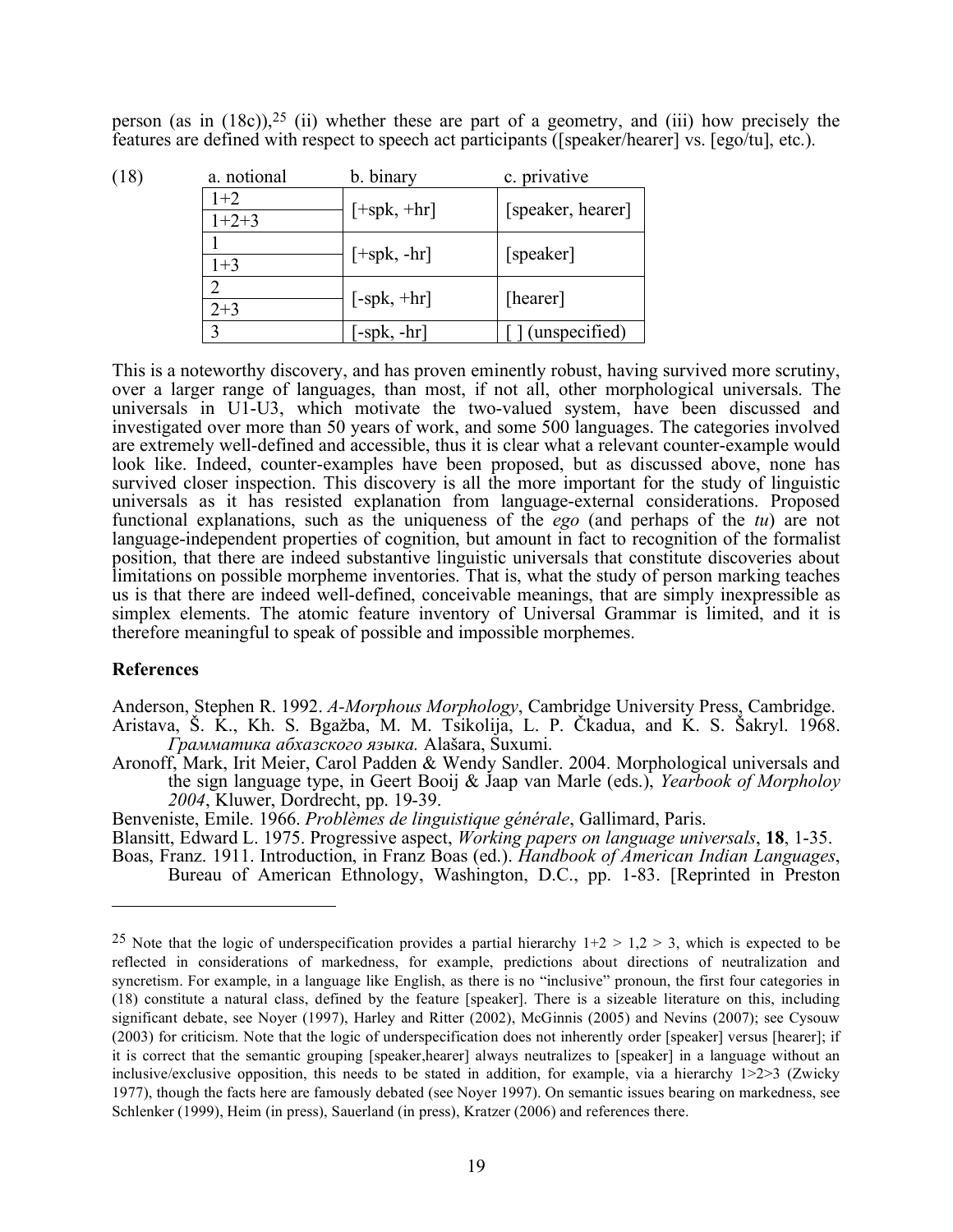person (as in  $(18c)$ ),<sup>25</sup> (ii) whether these are part of a geometry, and (iii) how precisely the features are defined with respect to speech act participants ([speaker/hearer] vs. [ego/tu], etc.).

| (18) | a. notional | b. binary         | c. privative      |
|------|-------------|-------------------|-------------------|
|      | $1+2$       | $[+spk, +hr]$     | [speaker, hearer] |
|      | $1+2+3$     |                   |                   |
|      |             |                   | [speaker]         |
|      | $1 + 3$     | $[+$ spk, $-$ hr] |                   |
|      |             | $[-spk, +hr]$     |                   |
|      | $2 + 3$     |                   | [hearer]          |
|      |             | $-spk, -hr$       | (unspecified)     |

This is a noteworthy discovery, and has proven eminently robust, having survived more scrutiny, over a larger range of languages, than most, if not all, other morphological universals. The universals in U1-U3, which motivate the two-valued system, have been discussed and investigated over more than 50 years of work, and some 500 languages. The categories involved are extremely well-defined and accessible, thus it is clear what a relevant counter-example would look like. Indeed, counter-examples have been proposed, but as discussed above, none has survived closer inspection. This discovery is all the more important for the study of linguistic universals as it has resisted explanation from language-external considerations. Proposed functional explanations, such as the uniqueness of the *ego* (and perhaps of the *tu*) are not language-independent properties of cognition, but amount in fact to recognition of the formalist position, that there are indeed substantive linguistic universals that constitute discoveries about limitations on possible morpheme inventories. That is, what the study of person marking teaches us is that there are indeed well-defined, conceivable meanings, that are simply inexpressible as simplex elements. The atomic feature inventory of Universal Grammar is limited, and it is therefore meaningful to speak of possible and impossible morphemes.

## **References**

 $\overline{a}$ 

Anderson, Stephen R. 1992. *A-Morphous Morphology*, Cambridge University Press, Cambridge. Aristava, <sup>Š</sup>. K., Kh. S. Bgažba, M. M. Tsikolija, L. P. <sup>Č</sup>kadua, and K. S. <sup>Š</sup>akryl. 1968.

Aronoff, Mark, Irit Meier, Carol Padden & Wendy Sandler. 2004. Morphological universals and the sign language type, in Geert Booij & Jaap van Marle (eds.), *Yearbook of Morpholoy 2004*, Kluwer, Dordrecht, pp. 19-39.

Benveniste, Emile. 1966. *Problèmes de linguistique générale*, Gallimard, Paris.

Blansitt, Edward L. 1975. Progressive aspect, *Working papers on language universals*, **18**, 1-35.

Boas, Franz. 1911. Introduction, in Franz Boas (ed.). *Handbook of American Indian Languages*, Bureau of American Ethnology, Washington, D.C., pp. 1-83. [Reprinted in Preston

<sup>&</sup>lt;sup>25</sup> Note that the logic of underspecification provides a partial hierarchy  $1+2 > 1,2 > 3$ , which is expected to be reflected in considerations of markedness, for example, predictions about directions of neutralization and syncretism. For example, in a language like English, as there is no "inclusive" pronoun, the first four categories in (18) constitute a natural class, defined by the feature [speaker]. There is a sizeable literature on this, including significant debate, see Noyer (1997), Harley and Ritter (2002), McGinnis (2005) and Nevins (2007); see Cysouw (2003) for criticism. Note that the logic of underspecification does not inherently order [speaker] versus [hearer]; if it is correct that the semantic grouping [speaker,hearer] always neutralizes to [speaker] in a language without an inclusive/exclusive opposition, this needs to be stated in addition, for example, via a hierarchy 1>2>3 (Zwicky 1977), though the facts here are famously debated (see Noyer 1997). On semantic issues bearing on markedness, see Schlenker (1999), Heim (in press), Sauerland (in press), Kratzer (2006) and references there.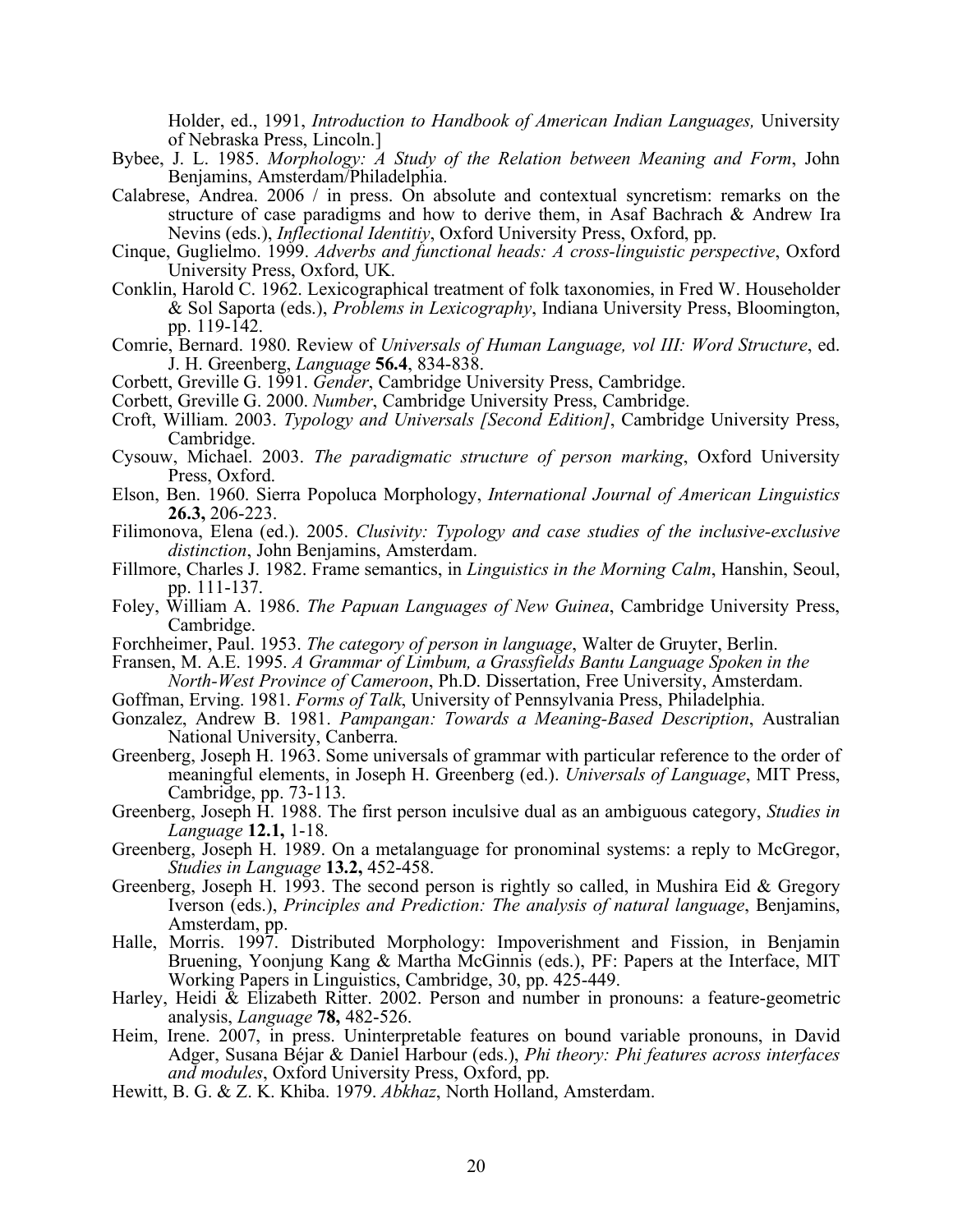Holder, ed., 1991, *Introduction to Handbook of American Indian Languages,* University of Nebraska Press, Lincoln.]

- Bybee, J. L. 1985. *Morphology: A Study of the Relation between Meaning and Form*, John Benjamins, Amsterdam/Philadelphia.
- Calabrese, Andrea. 2006 / in press. On absolute and contextual syncretism: remarks on the structure of case paradigms and how to derive them, in Asaf Bachrach & Andrew Ira Nevins (eds.), *Inflectional Identitiy*, Oxford University Press, Oxford, pp.
- Cinque, Guglielmo. 1999. *Adverbs and functional heads: A cross-linguistic perspective*, Oxford University Press, Oxford, UK.
- Conklin, Harold C. 1962. Lexicographical treatment of folk taxonomies, in Fred W. Householder & Sol Saporta (eds.), *Problems in Lexicography*, Indiana University Press, Bloomington, pp. 119-142.
- Comrie, Bernard. 1980. Review of *Universals of Human Language, vol III: Word Structure*, ed. J. H. Greenberg, *Language* **56.4**, 834-838.
- Corbett, Greville G. 1991. *Gender*, Cambridge University Press, Cambridge.
- Corbett, Greville G. 2000. *Number*, Cambridge University Press, Cambridge.
- Croft, William. 2003. *Typology and Universals [Second Edition]*, Cambridge University Press, Cambridge.
- Cysouw, Michael. 2003. *The paradigmatic structure of person marking*, Oxford University Press, Oxford.
- Elson, Ben. 1960. Sierra Popoluca Morphology, *International Journal of American Linguistics* **26.3,** 206-223.
- Filimonova, Elena (ed.). 2005. *Clusivity: Typology and case studies of the inclusive-exclusive distinction*, John Benjamins, Amsterdam.
- Fillmore, Charles J. 1982. Frame semantics, in *Linguistics in the Morning Calm*, Hanshin, Seoul, pp. 111-137.
- Foley, William A. 1986. *The Papuan Languages of New Guinea*, Cambridge University Press, Cambridge.
- Forchheimer, Paul. 1953. *The category of person in language*, Walter de Gruyter, Berlin.
- Fransen, M. A.E. 1995. *A Grammar of Limbum, a Grassfields Bantu Language Spoken in the North-West Province of Cameroon*, Ph.D. Dissertation, Free University, Amsterdam.
- Goffman, Erving. 1981. *Forms of Talk*, University of Pennsylvania Press, Philadelphia.
- Gonzalez, Andrew B. 1981. *Pampangan: Towards a Meaning-Based Description*, Australian National University, Canberra.
- Greenberg, Joseph H. 1963. Some universals of grammar with particular reference to the order of meaningful elements, in Joseph H. Greenberg (ed.). *Universals of Language*, MIT Press, Cambridge, pp. 73-113.
- Greenberg, Joseph H. 1988. The first person inculsive dual as an ambiguous category, *Studies in Language* **12.1,** 1-18.
- Greenberg, Joseph H. 1989. On a metalanguage for pronominal systems: a reply to McGregor, *Studies in Language* **13.2,** 452-458.
- Greenberg, Joseph H. 1993. The second person is rightly so called, in Mushira Eid & Gregory Iverson (eds.), *Principles and Prediction: The analysis of natural language*, Benjamins, Amsterdam, pp.
- Halle, Morris. 1997. Distributed Morphology: Impoverishment and Fission, in Benjamin Bruening, Yoonjung Kang & Martha McGinnis (eds.), PF: Papers at the Interface, MIT Working Papers in Linguistics, Cambridge, 30, pp. 425-449.
- Harley, Heidi & Elizabeth Ritter. 2002. Person and number in pronouns: a feature-geometric analysis, *Language* **78,** 482-526.
- Heim, Irene. 2007, in press. Uninterpretable features on bound variable pronouns, in David Adger, Susana Béjar & Daniel Harbour (eds.), *Phi theory: Phi features across interfaces*
- Hewitt, B. G. & Z. K. Khiba. 1979. *Abkhaz*, North Holland, Amsterdam.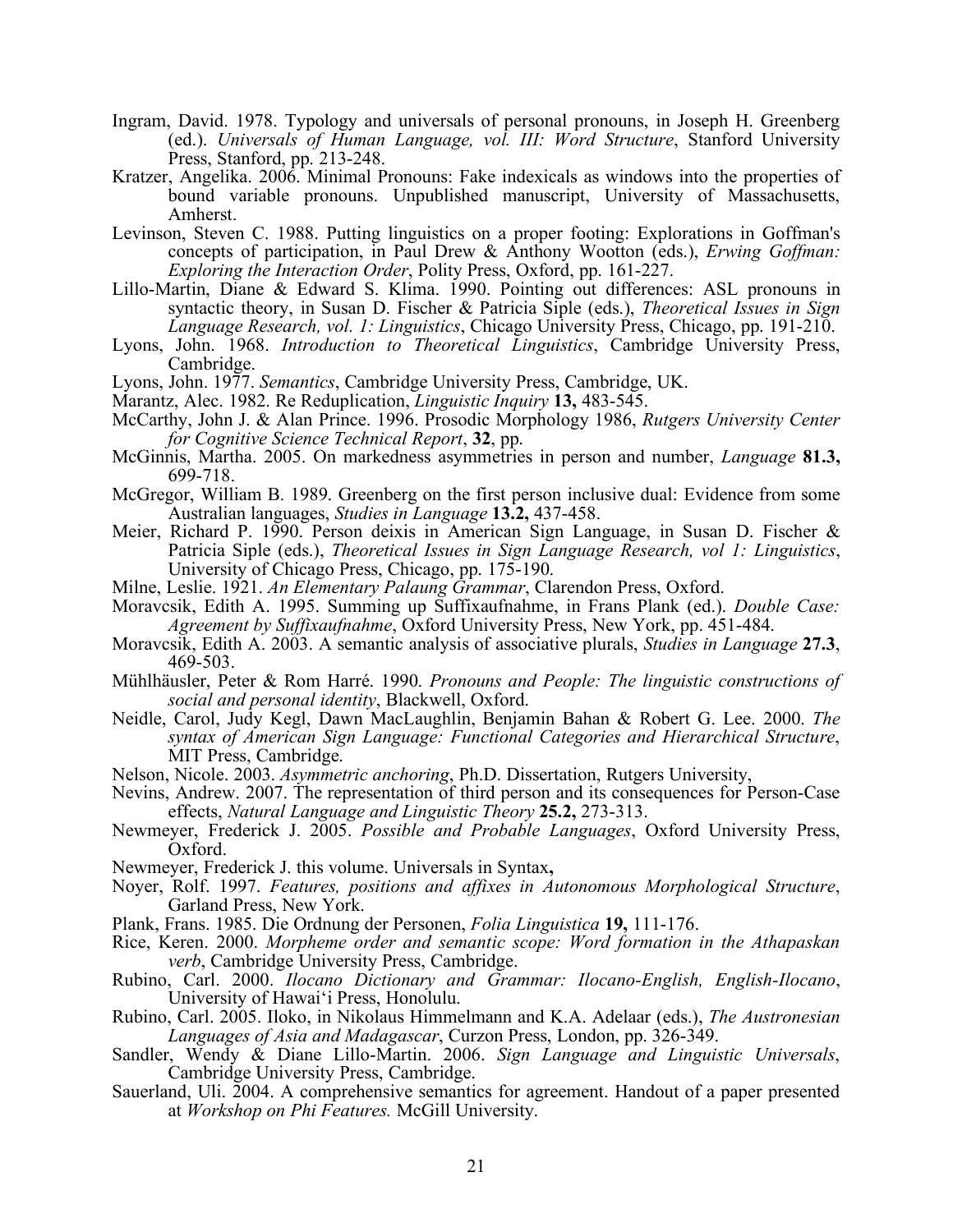- Ingram, David. 1978. Typology and universals of personal pronouns, in Joseph H. Greenberg (ed.). *Universals of Human Language, vol. III: Word Structure*, Stanford University Press, Stanford, pp. 213-248.
- Kratzer, Angelika. 2006. Minimal Pronouns: Fake indexicals as windows into the properties of bound variable pronouns. Unpublished manuscript, University of Massachusetts, Amherst.
- Levinson, Steven C. 1988. Putting linguistics on a proper footing: Explorations in Goffman's concepts of participation, in Paul Drew & Anthony Wootton (eds.), *Erwing Goffman: Exploring the Interaction Order*, Polity Press, Oxford, pp. 161-227.
- Lillo-Martin, Diane & Edward S. Klima. 1990. Pointing out differences: ASL pronouns in syntactic theory, in Susan D. Fischer & Patricia Siple (eds.), *Theoretical Issues in Sign Language Research, vol. 1: Linguistics*, Chicago University Press, Chicago, pp. 191-210.
- Lyons, John. 1968. *Introduction to Theoretical Linguistics*, Cambridge University Press, Cambridge.
- Lyons, John. 1977. *Semantics*, Cambridge University Press, Cambridge, UK.
- Marantz, Alec. 1982. Re Reduplication, *Linguistic Inquiry* **13,** 483-545.
- McCarthy, John J. & Alan Prince. 1996. Prosodic Morphology 1986, *Rutgers University Center for Cognitive Science Technical Report*, **32**, pp.
- McGinnis, Martha. 2005. On markedness asymmetries in person and number, *Language* **81.3,** 699-718.
- McGregor, William B. 1989. Greenberg on the first person inclusive dual: Evidence from some Australian languages, *Studies in Language* **13.2,** 437-458.
- Meier, Richard P. 1990. Person deixis in American Sign Language, in Susan D. Fischer & Patricia Siple (eds.), *Theoretical Issues in Sign Language Research, vol 1: Linguistics*, University of Chicago Press, Chicago, pp. 175-190.
- Milne, Leslie. 1921. *An Elementary Palaung Grammar*, Clarendon Press, Oxford.
- Moravcsik, Edith A. 1995. Summing up Suffixaufnahme, in Frans Plank (ed.). *Double Case: Agreement by Suffixaufnahme*, Oxford University Press, New York, pp. 451-484.
- Moravcsik, Edith A. 2003. A semantic analysis of associative plurals, *Studies in Language* **27.3**, 469-503.
- Mühlhäusler, Peter & Rom Harré. 1990. *Pronouns and People: The linguistic constructions of social and personal identity*, Blackwell, Oxford.
- Neidle, Carol, Judy Kegl, Dawn MacLaughlin, Benjamin Bahan & Robert G. Lee. 2000. *The syntax of American Sign Language: Functional Categories and Hierarchical Structure*, MIT Press, Cambridge.
- Nelson, Nicole. 2003. *Asymmetric anchoring*, Ph.D. Dissertation, Rutgers University,
- Nevins, Andrew. 2007. The representation of third person and its consequences for Person-Case effects, *Natural Language and Linguistic Theory* **25.2,** 273-313.
- Newmeyer, Frederick J. 2005. *Possible and Probable Languages*, Oxford University Press, Oxford.
- Newmeyer, Frederick J. this volume. Universals in Syntax**,**
- Noyer, Rolf. 1997. *Features, positions and affixes in Autonomous Morphological Structure*, Garland Press, New York.
- Plank, Frans. 1985. Die Ordnung der Personen, *Folia Linguistica* **19,** 111-176.
- Rice, Keren. 2000. *Morpheme order and semantic scope: Word formation in the Athapaskan verb*, Cambridge University Press, Cambridge.
- Rubino, Carl. 2000. *Ilocano Dictionary and Grammar: Ilocano-English, English-Ilocano*, University of Hawaiʻi Press, Honolulu.
- Rubino, Carl. 2005. Iloko, in Nikolaus Himmelmann and K.A. Adelaar (eds.), *The Austronesian Languages of Asia and Madagascar*, Curzon Press, London, pp. 326-349.
- Sandler, Wendy & Diane Lillo-Martin. 2006. *Sign Language and Linguistic Universals*,
- Cambridge University Press, Cambridge. Sauerland, Uli. 2004. <sup>A</sup> comprehensive semantics for agreement. Handout of <sup>a</sup> paper presented at *Workshop on Phi Features.* McGill University.